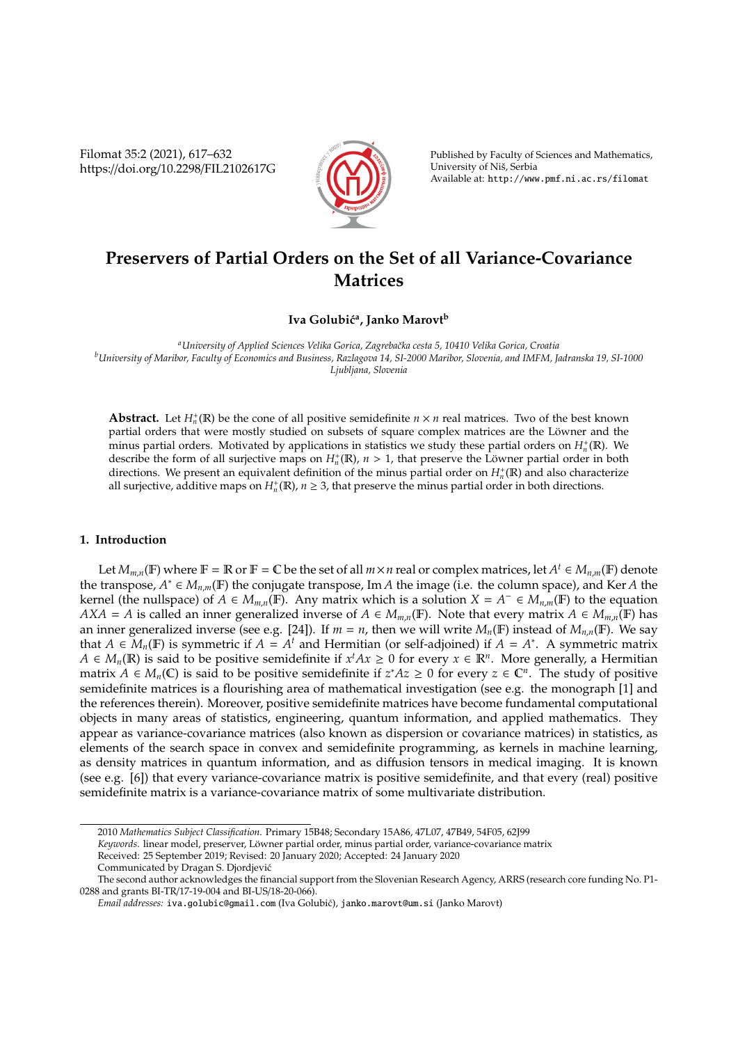Filomat 35:2 (2021), 617–632 https://doi.org/10.2298/FIL2102617G



Published by Faculty of Sciences and Mathematics, University of Niš, Serbia Available at: http://www.pmf.ni.ac.rs/filomat

# **Preservers of Partial Orders on the Set of all Variance-Covariance Matrices**

**Iva Golubi´c<sup>a</sup> , Janko Marovt<sup>b</sup>**

*<sup>a</sup>University of Applied Sciences Velika Gorica, Zagrebaˇcka cesta 5, 10410 Velika Gorica, Croatia <sup>b</sup>University of Maribor, Faculty of Economics and Business, Razlagova 14, SI-2000 Maribor, Slovenia, and IMFM, Jadranska 19, SI-1000 Ljubljana, Slovenia*

**Abstract.** Let  $H_n^+(\mathbb{R})$  be the cone of all positive semidefinite  $n \times n$  real matrices. Two of the best known partial orders that were mostly studied on subsets of square complex matrices are the Löwner and the  $\overline{n}$  minus partial orders. Motivated by applications in statistics we study these partial orders on  $H_n^+$ (R). We describe the form of all surjective maps on  $H_n^+$ (R),  $n > 1$ , that preserve the Löwner partial order in both directions. We present an equivalent definition of the minus partial order on  $H_n^{\dagger}(\mathbb{R})$  and also characterize all surjective, additive maps on  $H_n^+(\mathbb{R})$ ,  $n \geq 3$ , that preserve the minus partial order in both directions.

# **1. Introduction**

Let  $M_{m,n}(\mathbb{F})$  where  $\mathbb{F} = \mathbb{R}$  or  $\mathbb{F} = \mathbb{C}$  be the set of all  $m \times n$  real or complex matrices, let  $A^t \in M_{n,m}(\mathbb{F})$  denote the transpose,  $A^* \in M_{n,m}(\mathbb{F})$  the conjugate transpose, Im *A* the image (i.e. the column space), and Ker *A* the kernel (the nullspace) of *A* ∈  $M_{m,n}(\mathbb{F})$ . Any matrix which is a solution  $X = A^- \in M_{n,m}(\mathbb{F})$  to the equation *AXA* = *A* is called an inner generalized inverse of  $A \in M_{m,n}(\mathbb{F})$ . Note that every matrix  $A \in M_{m,n}(\mathbb{F})$  has an inner generalized inverse (see e.g. [24]). If  $m = n$ , then we will write  $M_n(\mathbb{F})$  instead of  $M_{n,n}(\mathbb{F})$ . We say that  $A \in M_n(\mathbb{F})$  is symmetric if  $A = A^t$  and Hermitian (or self-adjoined) if  $A = A^*$ . A symmetric matrix *A* ∈ *M<sub>n</sub>*(**R**) is said to be positive semidefinite if  $x^tAx \ge 0$  for every  $x \in \mathbb{R}^n$ . More generally, a Hermitian matrix *A* ∈  $M_n$ (**C**) is said to be positive semidefinite if  $z^*Az \ge 0$  for every  $z \in \mathbb{C}^n$ . The study of positive semidefinite matrices is a flourishing area of mathematical investigation (see e.g. the monograph [1] and the references therein). Moreover, positive semidefinite matrices have become fundamental computational objects in many areas of statistics, engineering, quantum information, and applied mathematics. They appear as variance-covariance matrices (also known as dispersion or covariance matrices) in statistics, as elements of the search space in convex and semidefinite programming, as kernels in machine learning, as density matrices in quantum information, and as diffusion tensors in medical imaging. It is known (see e.g. [6]) that every variance-covariance matrix is positive semidefinite, and that every (real) positive semidefinite matrix is a variance-covariance matrix of some multivariate distribution.

<sup>2010</sup> *Mathematics Subject Classification*. Primary 15B48; Secondary 15A86, 47L07, 47B49, 54F05, 62J99

*Keywords*. linear model, preserver, Löwner partial order, minus partial order, variance-covariance matrix

Received: 25 September 2019; Revised: 20 January 2020; Accepted: 24 January 2020

Communicated by Dragan S. Djordjević

The second author acknowledges the financial support from the Slovenian Research Agency, ARRS (research core funding No. P1- 0288 and grants BI-TR/17-19-004 and BI-US/18-20-066).

*Email addresses:* iva.golubic@gmail.com (Iva Golubi´c), janko.marovt@um.si (Janko Marovt)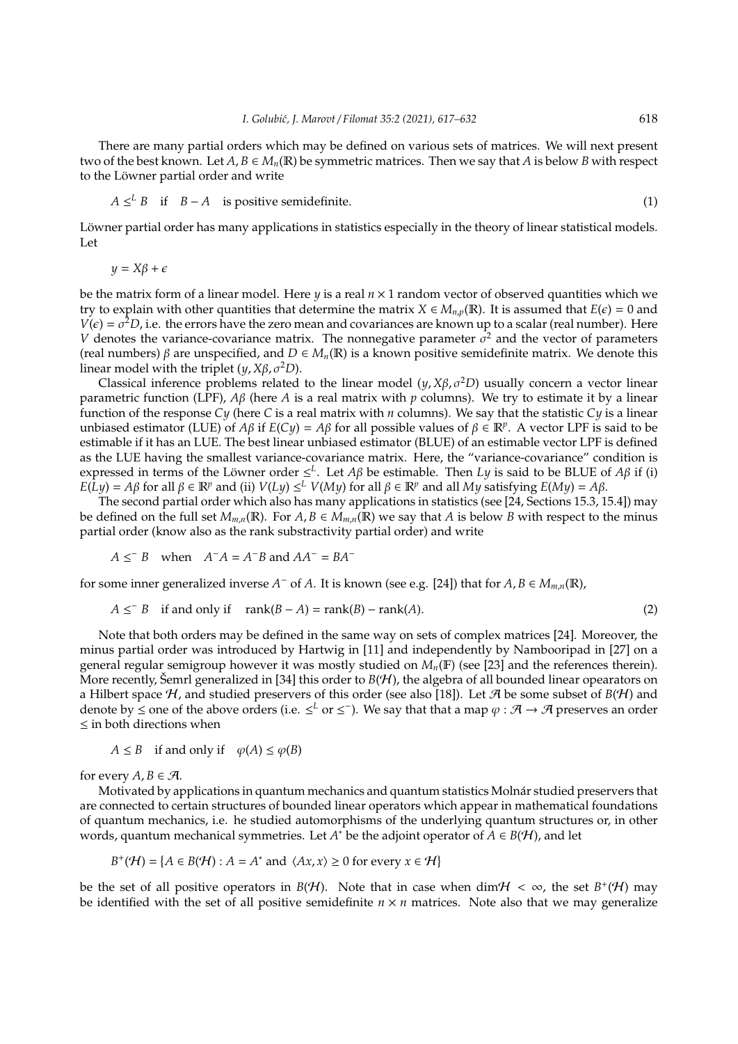There are many partial orders which may be defined on various sets of matrices. We will next present two of the best known. Let  $A, B \in M_n(\mathbb{R})$  be symmetric matrices. Then we say that *A* is below *B* with respect to the Löwner partial order and write

$$
A \leq^{L} B \quad \text{if} \quad B - A \quad \text{is positive semidefinite.} \tag{1}
$$

Löwner partial order has many applications in statistics especially in the theory of linear statistical models. Let

 $y = X\beta + \epsilon$ 

be the matrix form of a linear model. Here *y* is a real *n* × 1 random vector of observed quantities which we try to explain with other quantities that determine the matrix  $X \in M_{n,p}(\mathbb{R})$ . It is assumed that  $E(\epsilon) = 0$  and  $V(\epsilon) = \sigma^2 D$ , i.e. the errors have the zero mean and covariances are known up to a scalar (real number). Here *V* denotes the variance-covariance matrix. The nonnegative parameter  $\sigma^2$  and the vector of parameters (real numbers) β are unspecified, and *D* ∈ *Mn*(R) is a known positive semidefinite matrix. We denote this linear model with the triplet  $(y, X\beta, \sigma^2 D)$ .

Classical inference problems related to the linear model  $(y, X\beta, \sigma^2D)$  usually concern a vector linear parametric function (LPF), *A*β (here *A* is a real matrix with *p* columns). We try to estimate it by a linear function of the response *Cy* (here *C* is a real matrix with *n* columns). We say that the statistic *Cy* is a linear unbiased estimator (LUE) of *Aβ* if  $E(Cy) = A\beta$  for all possible values of  $\beta \in \mathbb{R}^p$ . A vector LPF is said to be estimable if it has an LUE. The best linear unbiased estimator (BLUE) of an estimable vector LPF is defined as the LUE having the smallest variance-covariance matrix. Here, the "variance-covariance" condition is expressed in terms of the Löwner order  $\leq^L$ . Let  $A\beta$  be estimable. Then *Ly* is said to be BLUE of  $A\beta$  if (i)  $E(Ly) = A\beta$  for all  $\beta \in \mathbb{R}^p$  and (ii)  $V(Ly) \leq^L V(My)$  for all  $\beta \in \mathbb{R}^p$  and all *My* satisfying  $E(My) = A\beta$ .

The second partial order which also has many applications in statistics (see [24, Sections 15.3, 15.4]) may be defined on the full set  $M_{m,n}(\mathbb{R})$ . For  $A, B \in M_{m,n}(\mathbb{R})$  we say that  $A$  is below  $B$  with respect to the minus partial order (know also as the rank substractivity partial order) and write

$$
A \leq B
$$
 when  $A^-A = A^-B$  and  $AA^- = BA^-$ 

for some inner generalized inverse  $A^-$  of  $A$ . It is known (see e.g. [24]) that for  $A, B \in M_{m,n}(\mathbb{R})$ ,

$$
A \leq^{-} B \quad \text{if and only if} \quad \text{rank}(B - A) = \text{rank}(B) - \text{rank}(A). \tag{2}
$$

Note that both orders may be defined in the same way on sets of complex matrices [24]. Moreover, the minus partial order was introduced by Hartwig in [11] and independently by Nambooripad in [27] on a general regular semigroup however it was mostly studied on *Mn*(F) (see [23] and the references therein). More recently, Šemrl generalized in [34] this order to  $B(H)$ , the algebra of all bounded linear opearators on a Hilbert space H, and studied preservers of this order (see also [18]). Let A be some subset of  $B(H)$  and denote by  $\leq$  one of the above orders (i.e.  $\leq^L$  or  $\leq^-$ ). We say that that a map  $\varphi : \mathcal{A} \to \mathcal{A}$  preserves an order ≤ in both directions when

$$
A \leq B
$$
 if and only if  $\varphi(A) \leq \varphi(B)$ 

for every  $A, B \in \mathcal{A}$ .

Motivated by applications in quantum mechanics and quantum statistics Molnár studied preservers that are connected to certain structures of bounded linear operators which appear in mathematical foundations of quantum mechanics, i.e. he studied automorphisms of the underlying quantum structures or, in other words, quantum mechanical symmetries. Let  $A^*$  be the adjoint operator of  $A \in B(\mathcal{H})$ , and let

$$
B^+(\mathcal{H}) = \{ A \in B(\mathcal{H}) : A = A^* \text{ and } \langle Ax, x \rangle \ge 0 \text{ for every } x \in \mathcal{H} \}
$$

be the set of all positive operators in *B*(*H*). Note that in case when  $\dim \mathcal{H} < \infty$ , the set *B*<sup>+</sup>(*H*) may be identified with the set of all positive semidefinite  $n \times n$  matrices. Note also that we may generalize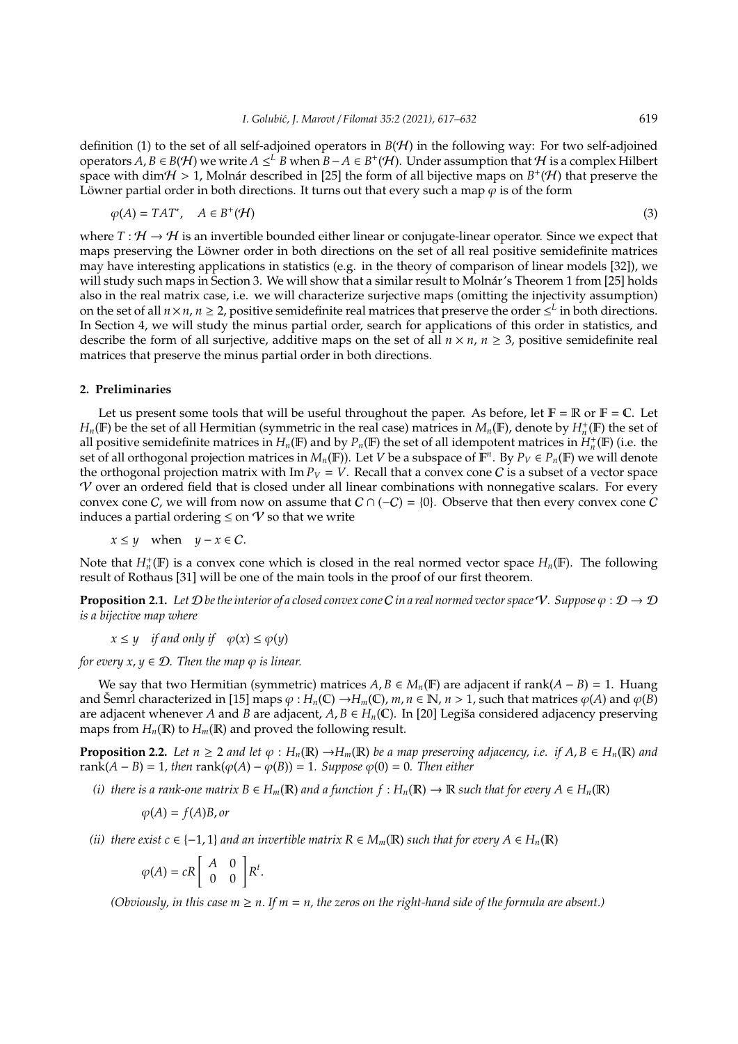definition (1) to the set of all self-adjoined operators in  $B(H)$  in the following way: For two self-adjoined operators *A*, *B* ∈ *B*(*H*) we write *A* ≤<sup>L</sup> *B* when *B*−*A* ∈ *B*<sup>+</sup>(*H*). Under assumption that *H* is a complex Hilbert space with dim $H > 1$ , Molnár described in [25] the form of all bijective maps on  $B^+(\mathcal{H})$  that preserve the Löwner partial order in both directions. It turns out that every such a map  $\varphi$  is of the form

$$
\varphi(A) = TAT^*, \quad A \in B^+(\mathcal{H})
$$
\n<sup>(3)</sup>

where  $T : \mathcal{H} \to \mathcal{H}$  is an invertible bounded either linear or conjugate-linear operator. Since we expect that maps preserving the Löwner order in both directions on the set of all real positive semidefinite matrices may have interesting applications in statistics (e.g. in the theory of comparison of linear models [32]), we will study such maps in Section 3. We will show that a similar result to Molnár's Theorem 1 from [25] holds also in the real matrix case, i.e. we will characterize surjective maps (omitting the injectivity assumption) on the set of all  $n \times n$ ,  $n \ge 2$ , positive semidefinite real matrices that preserve the order  $\leq^L$  in both directions. In Section 4, we will study the minus partial order, search for applications of this order in statistics, and describe the form of all surjective, additive maps on the set of all  $n \times n$ ,  $n \geq 3$ , positive semidefinite real matrices that preserve the minus partial order in both directions.

#### **2. Preliminaries**

Let us present some tools that will be useful throughout the paper. As before, let  $\mathbb{F} = \mathbb{R}$  or  $\mathbb{F} = \mathbb{C}$ . Let *H<sub>n</sub>*(F) be the set of all Hermitian (symmetric in the real case) matrices in  $M_n$ (F), denote by  $H_n^+$ (F) the set of all positive semidefinite matrices in  $H_n(\mathbb{F})$  and by  $P_n(\mathbb{F})$  the set of all idempotent matrices in  $H_n^+(\mathbb{F})$  (i.e. the set of all orthogonal projection matrices in  $M_n(\mathbb{F})$ ). Let *V* be a subspace of  $\mathbb{F}^n$ . By  $P_V \in P_n(\mathbb{F})$  we will denote the orthogonal projection matrix with Im  $P_V = V$ . Recall that a convex cone C is a subset of a vector space  $V$  over an ordered field that is closed under all linear combinations with nonnegative scalars. For every convex cone C, we will from now on assume that  $C \cap (-C) = \{0\}$ . Observe that then every convex cone C induces a partial ordering  $\leq$  on  $\gamma$  so that we write

 $x \leq y$  when  $y - x \in C$ .

Note that  $H_n^+(\mathbb{F})$  is a convex cone which is closed in the real normed vector space  $H_n(\mathbb{F})$ . The following result of Rothaus [31] will be one of the main tools in the proof of our first theorem.

**Proposition 2.1.** *Let*  $\mathcal{D}$  *be the interior of a closed convex cone*  $C$  *in a real normed vector space*  $V$ *. Suppose*  $\varphi : \mathcal{D} \to \mathcal{D}$ *is a bijective map where*

 $x \leq y$  *if and only if*  $\varphi(x) \leq \varphi(y)$ 

*for every x, y*  $\in \mathcal{D}$ *. Then the map*  $\varphi$  *is linear.* 

We say that two Hermitian (symmetric) matrices  $A, B \in M_n(\mathbb{F})$  are adjacent if rank $(A - B) = 1$ . Huang and Šemrl characterized in [15] maps  $\varphi : H_n(\mathbb{C}) \to H_m(\mathbb{C})$ ,  $m, n \in \mathbb{N}$ ,  $n > 1$ , such that matrices  $\varphi(A)$  and  $\varphi(B)$ are adjacent whenever *A* and *B* are adjacent,  $A, B \in H_n(\mathbb{C})$ . In [20] Legiša considered adjacency preserving maps from  $H_n(\mathbb{R})$  to  $H_m(\mathbb{R})$  and proved the following result.

**Proposition 2.2.** Let  $n \geq 2$  and let  $\varphi : H_n(\mathbb{R}) \to H_m(\mathbb{R})$  be a map preserving adjacency, i.e. if  $A, B \in H_n(\mathbb{R})$  and rank $(A - B) = 1$ , then rank $(\varphi(A) - \varphi(B)) = 1$ . Suppose  $\varphi(0) = 0$ . Then either

*(i) there is a rank-one matrix B*  $\in$  *H<sub>m</sub>*( $\mathbb{R}$ ) *and a function*  $f : H_n(\mathbb{R}) \to \mathbb{R}$  *such that for every*  $A \in H_n(\mathbb{R})$ 

$$
\varphi(A) = f(A)B, or
$$

*(ii)* there exist  $c \in \{-1, 1\}$  *and an invertible matrix*  $R \in M_m(\mathbb{R})$  *such that for every*  $A \in H_n(\mathbb{R})$ 

$$
\varphi(A) = cR \begin{bmatrix} A & 0 \\ 0 & 0 \end{bmatrix} R^t.
$$

*(Obviously, in this case*  $m \ge n$ *. If*  $m = n$ *, the zeros on the right-hand side of the formula are absent.)*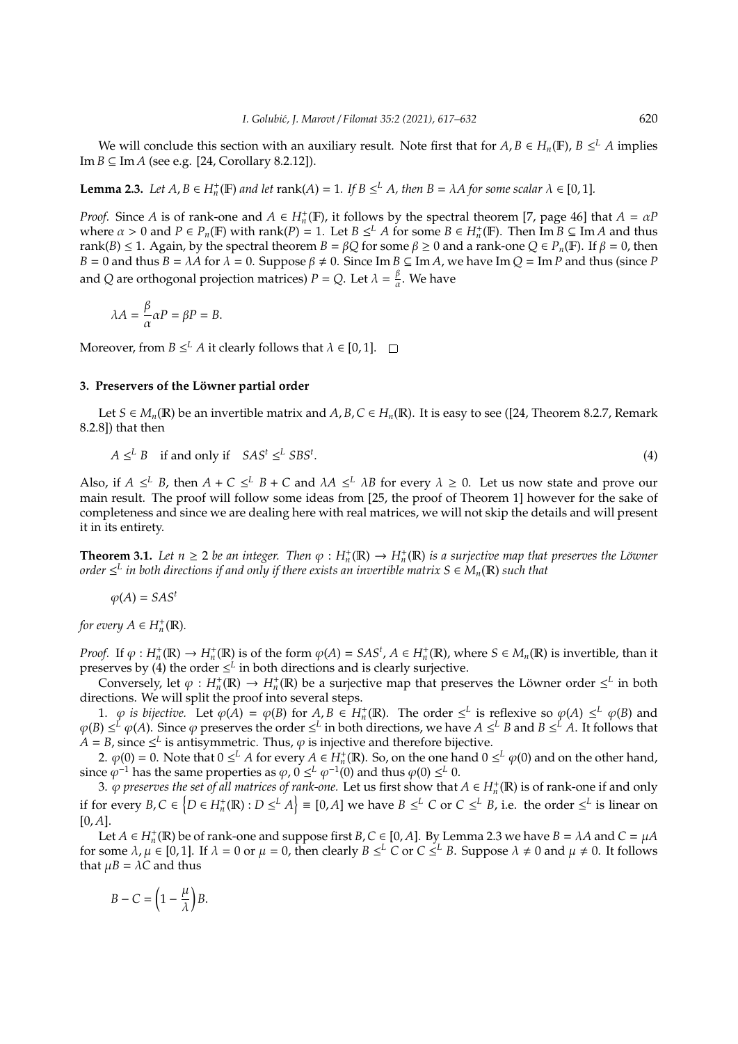We will conclude this section with an auxiliary result. Note first that for  $A, B \in H_n(\mathbb{F})$ ,  $B \leq^L A$  implies Im  $B \subseteq$  Im  $A$  (see e.g. [24, Corollary 8.2.12]).

**Lemma 2.3.** *Let*  $A, B \in H_n^+(\mathbb{F})$  *and let* rank( $A$ ) = 1*.* If  $B \leq^L A$ *, then*  $B = \lambda A$  *for some scalar*  $\lambda \in [0, 1]$ *.* 

*Proof.* Since *A* is of rank-one and  $A \in H_n^+(\mathbb{F})$ , it follows by the spectral theorem [7, page 46] that  $A = \alpha P$ where  $\alpha > 0$  and  $P \in P_n(\mathbb{F})$  with rank(*P*) = 1. Let  $B \leq^L A$  for some  $B \in H_n^+(\mathbb{F})$ . Then  $\text{Im } B \subseteq \text{Im } A$  and thus rank(*B*)  $\leq$  1. Again, by the spectral theorem *B* = *βQ* for some  $\beta$   $\geq$  0 and a rank-one  $Q \in P_n(\mathbb{F})$ . If  $\beta$  = 0, then  $B = 0$  and thus  $B = \lambda A$  for  $\lambda = 0$ . Suppose  $\beta \neq 0$ . Since Im  $B \subseteq \text{Im } A$ , we have Im  $Q = \text{Im } P$  and thus (since *P* and *Q* are orthogonal projection matrices) *P* = *Q*. Let  $\lambda = \frac{\beta}{a}$  $\frac{\rho}{\alpha}$ . We have

$$
\lambda A = \frac{\beta}{\alpha} \alpha P = \beta P = B.
$$

Moreover, from  $B \leq^L A$  it clearly follows that  $\lambda \in [0,1]$ .

## **3. Preservers of the Löwner partial order**

Let *S* ∈ *M<sub>n</sub>*(**R**) be an invertible matrix and *A*, *B*, *C* ∈ *H<sub>n</sub>*(**R**). It is easy to see ([24, Theorem 8.2.7, Remark 8.2.8]) that then

$$
A \leq^{L} B \quad \text{if and only if} \quad SAS^t \leq^{L} SBS^t. \tag{4}
$$

Also, if  $A \leq^L B$ , then  $A + C \leq^L B + C$  and  $\lambda A \leq^L \lambda B$  for every  $\lambda \geq 0$ . Let us now state and prove our main result. The proof will follow some ideas from [25, the proof of Theorem 1] however for the sake of completeness and since we are dealing here with real matrices, we will not skip the details and will present it in its entirety.

**Theorem 3.1.** Let  $n \ge 2$  be an integer. Then  $\varphi : H_n^+(\mathbb{R}) \to H_n^+(\mathbb{R})$  is a surjective map that preserves the Löwner  $\sigma$  *order*  $\leq^L$  *in both directions if and only if there exists an invertible matrix S*  $\in$  $M_n(\mathbb{R})$  *such that* 

$$
\varphi(A) = SAS^t
$$

*for every*  $A \in H_n^+(\mathbb{R})$ *.* 

*Proof.* If  $\varphi : H_n^+(\mathbb{R}) \to H_n^+(\mathbb{R})$  is of the form  $\varphi(A) = SAS^t$ ,  $A \in H_n^+(\mathbb{R})$ , where  $S \in M_n(\mathbb{R})$  is invertible, than it preserves by (4) the order  $\leq^L$  in both directions and is clearly surjective.

Conversely, let  $\varphi : H_n^+(\mathbb{R}) \to H_n^+(\mathbb{R})$  be a surjective map that preserves the Löwner order  $\leq^L$  in both directions. We will split the proof into several steps.

1.  $\varphi$  *is bijective.* Let  $\varphi(A) = \varphi(B)$  for  $A, B \in H_n^+(\mathbb{R})$ . The order  $\leq^L$  is reflexive so  $\varphi(A) \leq^L \varphi(B)$  and  $\varphi$ (*B*) ≤<sup>*L*</sup>  $\varphi$ (*A*). Since  $\varphi$  preserves the order ≤<sup>*L*</sup> in both directions, we have *A* ≤<sup>*L*</sup> *B* and *B* ≤<sup>*L*</sup> *A*. It follows that  $A = B$ , since  $\leq^L$  is antisymmetric. Thus,  $\varphi$  is injective and therefore bijective.

2.  $\varphi(0) = 0$ . Note that  $0 \leq^L A$  for every  $A \in H_n^+(\mathbb{R})$ . So, on the one hand  $0 \leq^L \varphi(0)$  and on the other hand, since  $\varphi^{-1}$  has the same properties as  $\varphi$ ,  $0 \leq^L \varphi^{-1}(0)$  and thus  $\varphi(0) \leq^L 0$ .

3.  $\varphi$  *preserves the set of all matrices of rank-one.* Let us first show that  $A \in H_n^+(\mathbb{R})$  is of rank-one if and only if for every  $B,C \in \{D \in H_n^+(\mathbb{R}) : D \leq^L A\} \equiv [0,A]$  we have  $B \leq^L C$  or  $C \leq^L B$ , i.e. the order  $\leq^L$  is linear on  $[0, A]$ .

Let  $A \in H_n^+(\mathbb{R})$  be of rank-one and suppose first  $B, C \in [0, A]$ . By Lemma 2.3 we have  $B = \lambda A$  and  $C = \mu A$ for some  $\lambda, \mu \in [0,1]$ . If  $\lambda = 0$  or  $\mu = 0$ , then clearly  $B \leq^L C$  or  $C \leq^L B$ . Suppose  $\lambda \neq 0$  and  $\mu \neq 0$ . It follows that  $\mu B = \lambda C$  and thus

$$
B-C=\left(1-\frac{\mu}{\lambda}\right)B.
$$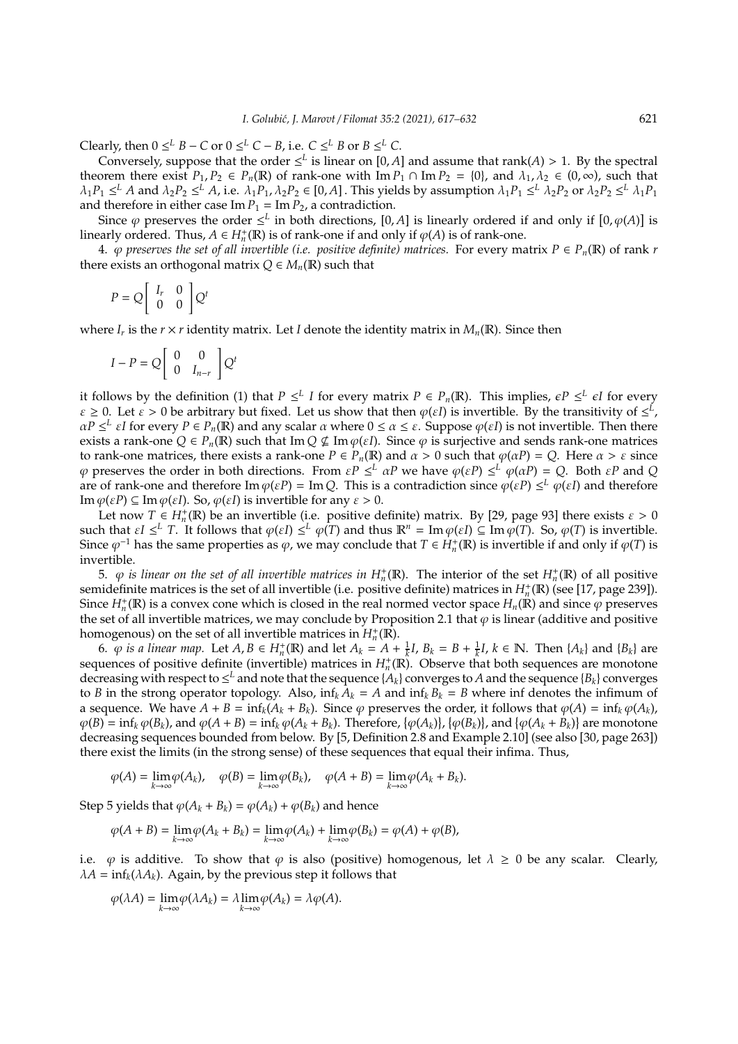*Clearly, then*  $0 \leq^L B - C$  or  $0 \leq^L C - B$ , i.e.  $C \leq^L B$  or  $B \leq^L C$ .

Conversely, suppose that the order  $\leq^L$  is linear on [0, *A*] and assume that rank(*A*) > 1. By the spectral theorem there exist  $P_1, P_2 \in P_n(\mathbb{R})$  of rank-one with  $\text{Im } P_1 \cap \text{Im } P_2 = \{0\}$ , and  $\lambda_1, \lambda_2 \in (0, \infty)$ , such that  $\lambda_1 P_1 \leq^L A$  and  $\lambda_2 P_2 \leq^L A$ , i.e.  $\lambda_1 P_1$ ,  $\lambda_2 P_2 \in [0, A]$ . This yields by assumption  $\lambda_1 P_1 \leq^L \lambda_2 P_2$  or  $\lambda_2 P_2 \leq^L \lambda_1 P_1$ and therefore in either case  $\text{Im } P_1 = \text{Im } P_2$ , a contradiction.

Since  $\varphi$  preserves the order  $\leq^L$  in both directions, [0, *A*] is linearly ordered if and only if  $[0, \varphi(A)]$  is linearly ordered. Thus,  $A \in H_n^+(\mathbb{R})$  is of rank-one if and only if  $\varphi(A)$  is of rank-one.

4.  $\varphi$  preserves the set of all invertible (i.e. positive definite) matrices. For every matrix  $P \in P_n(\mathbb{R})$  of rank *r* there exists an orthogonal matrix  $Q \in M_n(\mathbb{R})$  such that

$$
P = Q \left[ \begin{array}{cc} I_r & 0 \\ 0 & 0 \end{array} \right] Q^t
$$

where  $I_r$  is the  $r \times r$  identity matrix. Let *I* denote the identity matrix in  $M_n(\mathbb{R})$ . Since then

$$
I - P = Q \begin{bmatrix} 0 & 0 \\ 0 & I_{n-r} \end{bmatrix} Q^{t}
$$

it follows by the definition (1) that  $P \leq^L I$  for every matrix  $P \in P_n(\mathbb{R})$ . This implies,  $\epsilon P \leq^L \epsilon I$  for every  $\varepsilon \geq 0$ . Let  $\varepsilon > 0$  be arbitrary but fixed. Let us show that then  $\varphi(\varepsilon I)$  is invertible. By the transitivity of  $\leq^L$ ,  $\alpha P \leq^L \varepsilon I$  for every  $P \in P_n(\mathbb{R})$  and any scalar  $\alpha$  where  $0 \leq \alpha \leq \varepsilon$ . Suppose  $\varphi(\varepsilon I)$  is not invertible. Then there exists a rank-one  $Q \in P_n(\mathbb{R})$  such that Im  $Q \nsubseteq \text{Im } \varphi(\varepsilon I)$ . Since  $\varphi$  is surjective and sends rank-one matrices to rank-one matrices, there exists a rank-one  $P \in P_n(\mathbb{R})$  and  $\alpha > 0$  such that  $\varphi(\alpha P) = Q$ . Here  $\alpha > \varepsilon$  since  $\varphi$  preserves the order in both directions. From  $\epsilon P \leq^L \alpha P$  we have  $\varphi(\epsilon P) \leq^L \varphi(\alpha P) = Q$ . Both  $\epsilon P$  and *Q* are of rank-one and therefore  $\text{Im }\varphi(\varepsilon P) = \text{Im }Q$ . This is a contradiction since  $\varphi(\varepsilon P) \leq^L \varphi(\varepsilon I)$  and therefore Im  $\varphi(\varepsilon P) \subseteq \text{Im } \varphi(\varepsilon I)$ . So,  $\varphi(\varepsilon I)$  is invertible for any  $\varepsilon > 0$ .

Let now  $T \in H_n^+(\mathbb{R})$  be an invertible (i.e. positive definite) matrix. By [29, page 93] there exists  $\varepsilon > 0$ such that  $\epsilon I \leq^L T$ . It follows that  $\varphi(\epsilon I) \leq^L \varphi(T)$  and thus  $\mathbb{R}^n = \text{Im } \varphi(\epsilon I) \subseteq \text{Im } \varphi(T)$ . So,  $\varphi(T)$  is invertible. Since  $\varphi^{-1}$  has the same properties as  $\varphi$ , we may conclude that  $T \in H_n^+(\mathbb{R})$  is invertible if and only if  $\varphi(T)$  is invertible.

5.  $\varphi$  *is linear on the set of all invertible matrices in*  $H_n^+(\mathbb{R})$ . The interior of the set  $H_n^+(\mathbb{R})$  of all positive semidefinite matrices is the set of all invertible (i.e. positive definite) matrices in  $H_n^+(\mathbb{R})$  (see [17, page 239]). Since  $H_n^+$ ( $\mathbb{R}$ ) is a convex cone which is closed in the real normed vector space  $H_n(\mathbb{R})$  and since  $\varphi$  preserves the set of all invertible matrices, we may conclude by Proposition 2.1 that  $\varphi$  is linear (additive and positive homogenous) on the set of all invertible matrices in  $H_n^+({\bar\rho})$ .

6.  $\varphi$  is a linear map. Let  $A, B \in H_n^+(\mathbb{R})$  and let  $A_k = A + \frac{1}{k}I$ ,  $B_k = B + \frac{1}{k}I$ ,  $k \in \mathbb{N}$ . Then  $\{A_k\}$  and  $\{B_k\}$  are sequences of positive definite (invertible) matrices in  $H_n^{\dagger}(\mathbb{R})$ . Observe that both sequences are monotone decreasing with respect to  $\leq^L$  and note that the sequence  $\{A_k\}$  converges to  $A$  and the sequence  $\{B_k\}$  converges to *B* in the strong operator topology. Also,  $\inf_k A_k = A$  and  $\inf_k B_k = B$  where inf denotes the infimum of a sequence. We have  $A + B = \inf_k (A_k + B_k)$ . Since  $\varphi$  preserves the order, it follows that  $\varphi(A) = \inf_k \varphi(A_k)$ ,  $\varphi(B) = \inf_k \varphi(B_k)$ , and  $\varphi(A + B) = \inf_k \varphi(A_k + B_k)$ . Therefore,  $\{\varphi(A_k)\}\$ ,  $\{\varphi(B_k)\}\$ , and  $\{\varphi(A_k + B_k)\}\$  are monotone decreasing sequences bounded from below. By [5, Definition 2.8 and Example 2.10] (see also [30, page 263]) there exist the limits (in the strong sense) of these sequences that equal their infima. Thus,

$$
\varphi(A) = \lim_{k \to \infty} \varphi(A_k), \quad \varphi(B) = \lim_{k \to \infty} \varphi(B_k), \quad \varphi(A + B) = \lim_{k \to \infty} \varphi(A_k + B_k).
$$

Step 5 yields that  $\varphi(A_k + B_k) = \varphi(A_k) + \varphi(B_k)$  and hence

$$
\varphi(A+B)=\lim_{k\to\infty}\varphi(A_k+B_k)=\lim_{k\to\infty}\varphi(A_k)+\lim_{k\to\infty}\varphi(B_k)=\varphi(A)+\varphi(B),
$$

i.e.  $\varphi$  is additive. To show that  $\varphi$  is also (positive) homogenous, let  $\lambda \geq 0$  be any scalar. Clearly,  $\lambda A = \inf_k (\lambda A_k)$ . Again, by the previous step it follows that

$$
\varphi(\lambda A) = \lim_{k \to \infty} \varphi(\lambda A_k) = \lambda \lim_{k \to \infty} \varphi(A_k) = \lambda \varphi(A).
$$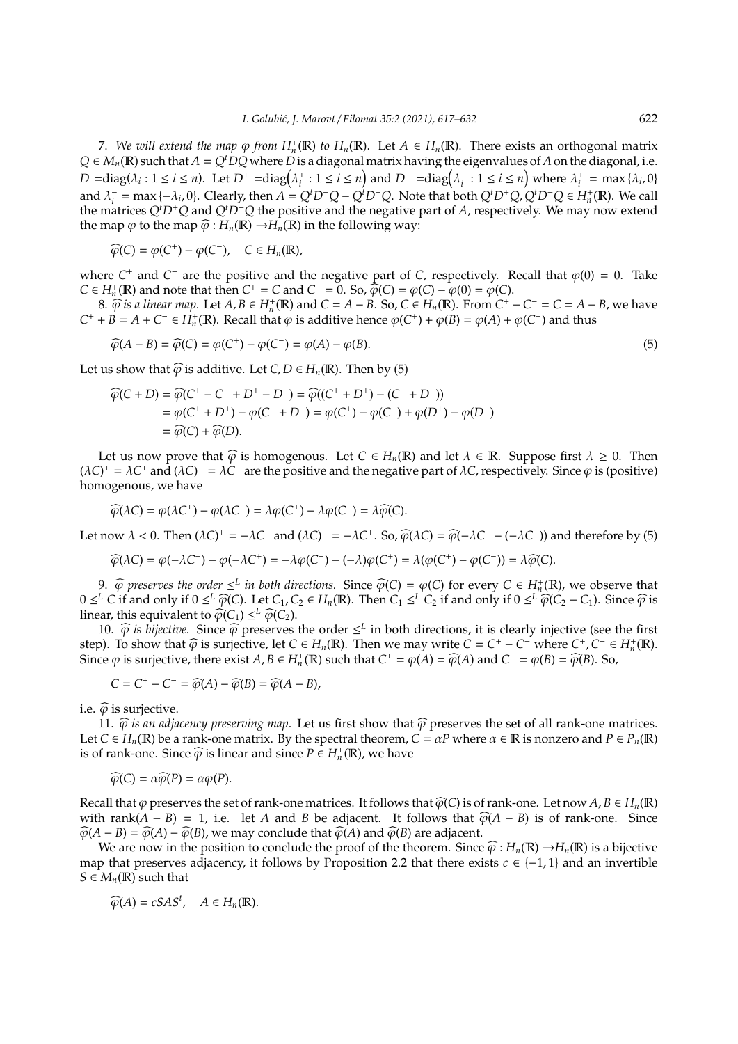7. We will extend the map  $\varphi$  from  $H_n^+(\mathbb{R})$  to  $H_n(\mathbb{R})$ . Let  $A \in H_n(\mathbb{R})$ . There exists an orthogonal matrix  $Q \in M_n(\mathbb{R})$  such that  $A = Q^t D Q$  where *D* is a diagonal matrix having the eigenvalues of *A* on the diagonal, i.e.  $D = diag(\lambda_i : 1 \le i \le n)$ . Let  $D^+ = diag(\lambda_i^+ : 1 \le i \le n)$  and  $D^- = diag(\lambda_i^-)$  $\sum_{i}$  : 1  $\leq i \leq n$  where  $\lambda_i^+$  = max { $\lambda_i$ , 0} and  $\lambda_i^ C_i^-$  = max {- $\lambda_i$ , 0}. Clearly, then  $A = Q^t D^+ Q - Q^t D^- Q$ . Note that both  $Q^t D^+ Q$ ,  $Q^t D^- Q \in H_n^+(\mathbb{R})$ . We call the matrices *Q<sup>t</sup>D*<sup>+</sup>*Q* and *Q<sup>t</sup>D*<sup>−</sup>*Q* the positive and the negative part of *A*, respectively. We may now extend the map  $\varphi$  to the map  $\widehat{\varphi}: H_n(\mathbb{R}) \to H_n(\mathbb{R})$  in the following way:

$$
\widehat{\varphi}(C) = \varphi(C^+) - \varphi(C^-), \quad C \in H_n(\mathbb{R}),
$$

where  $C^+$  and  $C^-$  are the positive and the negative part of *C*, respectively. Recall that  $\varphi(0) = 0$ . Take *C* ∈ *H*<sup>+</sup><sub>n</sub>(**R**) and note that then *C*<sup>+</sup> = *C* and *C*<sup>−</sup> = 0. So,  $\hat{\varphi}(C) = \varphi(C) - \varphi(0) = \varphi(C)$ .<br>
8.  $\hat{\varphi}$  is a linear man. Let *A*,  $B \in H^+(R)$  and  $C = A$ ,  $B \in S$ ,  $C \in H^+(R)$ . From *C*<sup>+</sup>

8.  $\widehat{\varphi}$  *is a linear map.* Let *A*, *B* ∈ *H*<sub>*n*</sub><sup>+</sup>(R) and *C* = *A* − *B*. So, *C* ∈ *H<sub>n</sub>*(R). From *C*<sup>+</sup> − *C*<sup>−</sup> = *C* = *A* − *B*, we have *C*<sup>+</sup> + *B* = *A* + *C*<sup>−</sup> ∈ *H*<sub>*n*</sub><sup>+</sup>(**R**). Recall that  $\varphi$  is additive hence  $\varphi$ (*C*<sup>+</sup>) +  $\varphi$ (*B*) =  $\varphi$ (*A*) +  $\varphi$ (*C*<sup>−</sup>) and thus

$$
\widehat{\varphi}(A - B) = \widehat{\varphi}(C) = \varphi(C^+) - \varphi(C^-) = \varphi(A) - \varphi(B). \tag{5}
$$

Let us show that  $\widehat{\varphi}$  is additive. Let *C*, *D*  $\in$  *H<sub>n</sub>*(**R**). Then by (5)

$$
\widehat{\varphi}(C+D) = \widehat{\varphi}(C^+ - C^- + D^+ - D^-) = \widehat{\varphi}((C^+ + D^+) - (C^- + D^-))
$$
  
=  $\varphi(C^+ + D^+) - \varphi(C^- + D^-) = \varphi(C^+) - \varphi(C^-) + \varphi(D^+) - \varphi(D^-)$   
=  $\widehat{\varphi}(C) + \widehat{\varphi}(D)$ .

Let us now prove that  $\widehat{\varphi}$  is homogenous. Let  $C \in H_n(\mathbb{R})$  and let  $\lambda \in \mathbb{R}$ . Suppose first  $\lambda \geq 0$ . Then  $(\lambda C)^+ = \lambda C^+$  and  $(\lambda C)^- = \lambda C^-$  are the positive and the negative part of  $\lambda C$ , respectively. Since  $\varphi$  is (positive) homogenous, we have

$$
\widehat{\varphi}(\lambda C) = \varphi(\lambda C^+) - \varphi(\lambda C^-) = \lambda \varphi(C^+) - \lambda \varphi(C^-) = \lambda \widehat{\varphi}(C).
$$

Let now  $\lambda < 0$ . Then  $(\lambda C)^+ = -\lambda C^-$  and  $(\lambda C)^- = -\lambda C^+$ . So,  $\widehat{\varphi}(\lambda C) = \widehat{\varphi}(-\lambda C^- - (-\lambda C^+))$  and therefore by (5)

$$
\widehat{\varphi}(\lambda C) = \varphi(-\lambda C^-) - \varphi(-\lambda C^+) = -\lambda \varphi(C^-) - (-\lambda) \varphi(C^+) = \lambda (\varphi(C^+) - \varphi(C^-)) = \lambda \widehat{\varphi}(C).
$$

9.  $\widehat{\varphi}$  *preserves the order*  $\leq^L$  *in both directions.* Since  $\widehat{\varphi}(C) = \varphi(C)$  for every  $C \in H_n^+(\mathbb{R})$ , we observe that  $L$  *C* if and only if  $0 \leq L$   $\widehat{\varphi}(C)$  if and only if  $0 \leq L$   $\widehat{\varphi}(C)$  is easy  $\widehat$  $0 \leq^{L} C$  if and only if  $0 \leq^{L} \widehat{\varphi}(C)$ . Let  $C_1, C_2 \in H_n(\mathbb{R})$ . Then  $C_1 \leq^{L} C_2$  if and only if  $0 \leq^{L} \widehat{\varphi}(C_2 - C_1)$ . Since  $\widehat{\varphi}$  is linear this equivalent to  $\widehat{\varphi}(C_1) \leq^{L} \widehat{\varphi}(C_2)$ linear, this equivalent to  $\widehat{\varphi}(C_1) \leq^L \widehat{\varphi}(C_2)$ .<br>10  $\widehat{\varphi}$  is hijective. Since  $\widehat{\varphi}$  presenties.

10.  $\widehat{\varphi}$  *is bijective.* Since  $\widehat{\varphi}$  preserves the order  $\leq^L$  in both directions, it is clearly injective (see the first  $\zeta$ ). To change that  $\widehat{\zeta}$  is curricative lat  $C \in H$  (E). Then we may write  $C = C^+$ step). To show that  $\widehat{\varphi}$  is surjective, let  $C \in H_n(\mathbb{R})$ . Then we may write  $C = C^+ - C^-$  where  $C^+, C^- \in H_n^+(\mathbb{R})$ . Since  $\varphi$  is surjective, there exist  $A, B \in H_n^+(\mathbb{R})$  such that  $C^+ = \varphi(A) = \widehat{\varphi}(A)$  and  $C^- = \varphi(B) = \widehat{\varphi}(B)$ . So,

$$
C = C^+ - C^- = \widehat{\varphi}(A) - \widehat{\varphi}(B) = \widehat{\varphi}(A - B),
$$

i.e.  $\widehat{\varphi}$  is surjective.

11.  $\widehat{\varphi}$  *is an adjacency preserving map*. Let us first show that  $\widehat{\varphi}$  preserves the set of all rank-one matrices. Let  $C \in H_n(\mathbb{R})$  be a rank-one matrix. By the spectral theorem,  $C = \alpha P$  where  $\alpha \in \mathbb{R}$  is nonzero and  $P \in P_n(\mathbb{R})$ is of rank-one. Since  $\widehat{\varphi}$  is linear and since  $P \in H_n^+(\mathbb{R})$ , we have

$$
\widehat{\varphi}(C) = \alpha \widehat{\varphi}(P) = \alpha \varphi(P).
$$

Recall that  $\varphi$  preserves the set of rank-one matrices. It follows that  $\widehat{\varphi}(C)$  is of rank-one. Let now  $A, B \in H_n(\mathbb{R})$ with rank $(A - B) = 1$ , i.e. let *A* and *B* be adjacent. It follows that  $\widehat{\varphi}(A - B)$  is of rank-one. Since  $\widehat{\varphi}(A - B) = \widehat{\varphi}(A) - \widehat{\varphi}(B)$ , we may conclude that  $\widehat{\varphi}(A)$  and  $\widehat{\varphi}(B)$  are adjacent.

We are now in the position to conclude the proof of the theorem. Since  $\widehat{\varphi}$ :  $H_n(\mathbb{R}) \to H_n(\mathbb{R})$  is a bijective map that preserves adjacency, it follows by Proposition 2.2 that there exists  $c \in \{-1,1\}$  and an invertible  $S \in M_n(\mathbb{R})$  such that

$$
\widehat{\varphi}(A)=cSAS^t, \quad A\in H_n(\mathbb{R}).
$$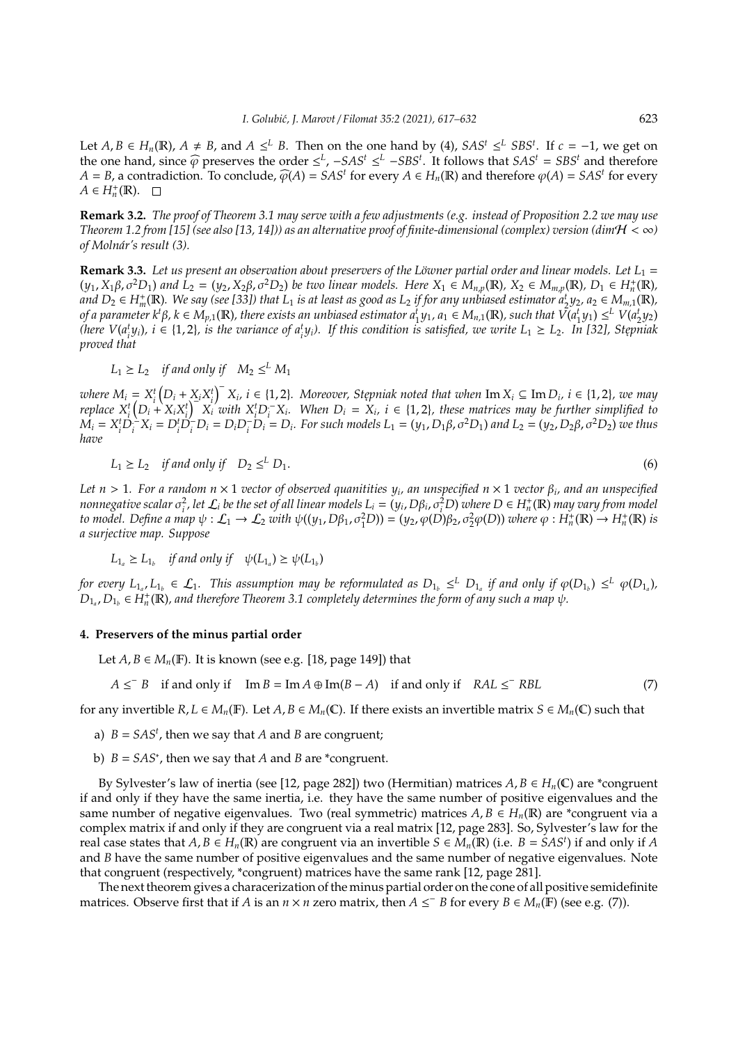Let *A*, *B* ∈ *H<sub>n</sub>*(**R**), *A* ≠ *B*, and *A* ≤<sup>*L*</sup> *B*. Then on the one hand by (4), *SAS<sup>t</sup>* ≤<sup>*L*</sup> *SBS<sup>t</sup>*. If *c* = −1, we get on the one hand, since  $\widehat{\varphi}$  preserves the order  $\leq^L$ ,  $-SAS^t \leq^L - SBS^t$ . It follows that  $SAS^t = SBS^t$  and therefore *A* = *B*, a contradiction. To conclude,  $\widehat{\varphi}(A) = SAS^t$  for every *A* ∈ *H<sub>n</sub>*(**R**) and therefore  $\varphi(A) = SAS^t$  for every *A* ∈ *H*<sup>+</sup>(**P**).  $A \in H_n^+(\mathbb{R})$ .

**Remark 3.2.** *The proof of Theorem 3.1 may serve with a few adjustments (e.g. instead of Proposition 2.2 we may use Theorem 1.2 from [15] (see also [13, 14])) as an alternative proof of finite-dimensional (complex) version (dim* $H < \infty$ *) of Molnár's result (3).*

**Remark 3.3.** Let us present an observation about preservers of the Löwner partial order and linear models. Let L<sub>1</sub> =  $(y_1, X_1\beta, \sigma^2D_1)$  and  $L_2 = (y_2, X_2\beta, \sigma^2D_2)$  be two linear models. Here  $X_1 \in M_{n,p}(\mathbb{R})$ ,  $X_2 \in M_{m,p}(\mathbb{R})$ ,  $D_1 \in H_n^+(\mathbb{R})$ , *and*  $D_2$  ∈ *H*<sup>+</sup><sub>*m*</sub>(**R**)*.* We say (see [33]) that L<sub>1</sub> is at least as good as L<sub>2</sub> if for any unbiased estimator  $a_2^t y_2$ ,  $a_2 \in M_{m,1}(\mathbb{R})$ , of a parameter  $k^t\beta$ ,  $k \in M_{p,1}(\mathbb{R})$ , there exists an unbiased estimator  $a_1^ty_1$ ,  $a_1 \in M_{n,1}(\mathbb{R})$ , such that  $\tilde{V}(a_1^ty_1) \leq^L V(a_2^ty_2)$ (here  $V(a_i^t y_i)$ ,  $i \in \{1,2\}$ , is the variance of  $a_i^t y_i$ ). If this condition is satisfied, we write  $L_1 \ge L_2$ . In [32], Stepniak *proved that*

 $L_1 \geq L_2$  *if and only if*  $M_2 \leq^L M_1$ 

where  $M_i = X_i^t (D_i + X_i X_i^t)^T X_i$ ,  $i \in \{1, 2\}$ . Moreover, Stepniak noted that when Im  $X_i \subseteq \text{Im } D_i$ ,  $i \in \{1, 2\}$ , we may where  $W_i = X_i (D_i + X_i X_i) X_i$ ,  $i \in \{1, 2\}$ . When  $D_i = X_i$ ,  $i \in \{1, 2\}$ , these matrices may be further simplified to replace  $X_i^t (D_i + X_i X_i^t) X_i$  with  $X_i^t D_i^- X_i$ . When  $D_i = X_i$ ,  $i \in \{1, 2\}$ , these matrices may be further si  $M_i = X_i^t D_i^2 X_i = D_i^t D_i^- D_i = D_i D_i^- D_i = D_i$ . For such models  $L_1 = (y_1, D_1 \beta, \sigma^2 D_1)$  and  $L_2 = (y_2, D_2 \beta, \sigma^2 D_2)$  we thus *have*

$$
L_1 \ge L_2 \quad \text{if and only if} \quad D_2 \le^L D_1. \tag{6}
$$

 $Let n > 1$ . For a random  $n \times 1$  vector of observed quanitities  $y_i$ , an unspecified  $n \times 1$  vector  $β_i$ , and an unspecified nonnegative scalar  $\sigma_i^2$ , let  $\mathcal{L}_i$  be the set of all linear models  $L_i = (y_i, D\beta_i, \sigma_i^2 D)$  where  $D \in H_n^+(\mathbb{R})$  may vary from model *to model. Define a map*  $\psi : L_1 \to L_2$  *with*  $\psi((y_1, D\beta_1, \sigma_1^2 D)) = (y_2, \varphi(D)\beta_2, \sigma_2^2 \varphi(D))$  *where*  $\varphi : H_n^+(\mathbb{R}) \to H_n^+(\mathbb{R})$  *is a surjective map. Suppose*

$$
L_{1_a} \ge L_{1_b}
$$
 if and only if  $\psi(L_{1_a}) \ge \psi(L_{1_b})$ 

*for every*  $L_{1_a}, L_{1_b} \in L_1$ . This assumption may be reformulated as  $D_{1_b} \leq^L D_{1_a}$  if and only if  $\varphi(D_{1_b}) \leq^L \varphi(D_{1_a})$ ,  $D_{1_a}$ ,  $D_{1_b}$   $\in$   $H_n^+(\mathbb{R})$ , and therefore Theorem 3.1 completely determines the form of any such a map  $\psi$ .

## **4. Preservers of the minus partial order**

Let  $A, B \in M_n(\mathbb{F})$ . It is known (see e.g. [18, page 149]) that

$$
A \leq^{-} B \quad \text{if and only if} \quad \text{Im } B = \text{Im } A \oplus \text{Im}(B - A) \quad \text{if and only if} \quad RAL \leq^{-} RBL \tag{7}
$$

for any invertible  $R, L \in M_n(\mathbb{F})$ . Let  $A, B \in M_n(\mathbb{C})$ . If there exists an invertible matrix  $S \in M_n(\mathbb{C})$  such that

- a)  $B = SAS<sup>t</sup>$ , then we say that *A* and *B* are congruent;
- b) *B* = *SAS*<sup>∗</sup> , then we say that *A* and *B* are \*congruent.

By Sylvester's law of inertia (see [12, page 282]) two (Hermitian) matrices  $A, B \in H_n(\mathbb{C})$  are \*congruent if and only if they have the same inertia, i.e. they have the same number of positive eigenvalues and the same number of negative eigenvalues. Two (real symmetric) matrices  $A, B \in H_n(\mathbb{R})$  are \*congruent via a complex matrix if and only if they are congruent via a real matrix [12, page 283]. So, Sylvester's law for the real case states that  $A, B \in H_n(\mathbb{R})$  are congruent via an invertible  $S \in M_n(\mathbb{R})$  (i.e.  $B = SAS^t$ ) if and only if  $A$ and *B* have the same number of positive eigenvalues and the same number of negative eigenvalues. Note that congruent (respectively, \*congruent) matrices have the same rank [12, page 281].

The next theorem gives a characerization of the minus partial order on the cone of all positive semidefinite matrices. Observe first that if *A* is an  $n \times n$  zero matrix, then  $A \leq^{-} B$  for every  $B \in M_n(\mathbb{F})$  (see e.g. (7)).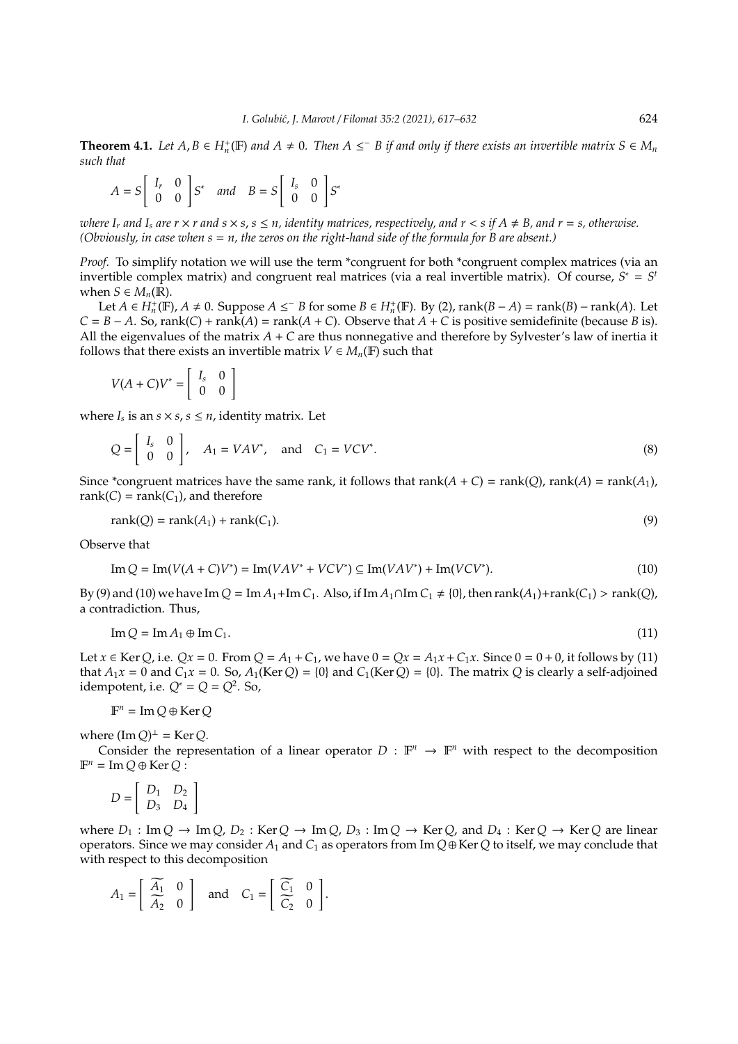**Theorem 4.1.** Let  $A, B \in H_n^+(\mathbb{F})$  and  $A \neq 0$ . Then  $A \leq B$  if and only if there exists an invertible matrix  $S \in M_n$ *such that*

$$
A = S \begin{bmatrix} I_r & 0 \\ 0 & 0 \end{bmatrix} S^* \quad and \quad B = S \begin{bmatrix} I_s & 0 \\ 0 & 0 \end{bmatrix} S^*
$$

*where I<sub>r</sub>* and I<sub>s</sub> are  $r \times r$  and  $s \times s$ ,  $s \leq n$ , identity matrices, respectively, and  $r \leq s$  if  $A \neq B$ , and  $r = s$ , otherwise. *(Obviously, in case when s* = *n, the zeros on the right-hand side of the formula for B are absent.)*

*Proof.* To simplify notation we will use the term \*congruent for both \*congruent complex matrices (via an invertible complex matrix) and congruent real matrices (via a real invertible matrix). Of course,  $S^* = S^t$ when  $S \in M_n(\mathbb{R})$ .

Let *A* ∈ *H*<sup>+</sup><sub>n</sub>(**F**), *A* ≠ 0. Suppose *A* ≤ *B* for some *B* ∈ *H*<sup>+</sup><sub>n</sub>(**F**). By (2), rank(*B* − *A*) = rank(*B*) − rank(*A*). Let  $C = B - A$ . So, rank(*C*) + rank(*A*) = rank(*A* + *C*). Observe that *A* + *C* is positive semidefinite (because *B* is). All the eigenvalues of the matrix  $A + C$  are thus nonnegative and therefore by Sylvester's law of inertia it follows that there exists an invertible matrix  $V \in M_n(\mathbb{F})$  such that

$$
V(A+C)V^* = \left[\begin{array}{cc} I_s & 0\\ 0 & 0 \end{array}\right]
$$

where  $I_s$  is an  $s \times s$ ,  $s \leq n$ , identity matrix. Let

$$
Q = \begin{bmatrix} I_s & 0 \\ 0 & 0 \end{bmatrix}, A_1 = VAV^*, \text{ and } C_1 = VCV^*.
$$
 (8)

Since \*congruent matrices have the same rank, it follows that rank( $A + C$ ) = rank( $Q$ ), rank( $A$ ) = rank( $A_1$ ), rank( $C$ ) = rank( $C_1$ ), and therefore

$$
rank(Q) = rank(A_1) + rank(C_1). \tag{9}
$$

Observe that

$$
\text{Im}\,Q = \text{Im}(V(A+C)V^*) = \text{Im}(VAV^* + VCV^*) \subseteq \text{Im}(VAV^*) + \text{Im}(VCV^*). \tag{10}
$$

By (9) and (10) we have Im  $Q = \text{Im} A_1 + \text{Im} C_1$ . Also, if Im  $A_1 \cap \text{Im} C_1 \neq \{0\}$ , then rank( $A_1$ )+rank( $C_1$ ) > rank( $Q$ ), a contradiction. Thus,

$$
\operatorname{Im} Q = \operatorname{Im} A_1 \oplus \operatorname{Im} C_1. \tag{11}
$$

Let *x* ∈ Ker *Q*, i.e. *Qx* = 0. From *Q* = *A*<sub>1</sub> + *C*<sub>1</sub>, we have  $0 = Qx = A_1x + C_1x$ . Since  $0 = 0 + 0$ , it follows by (11) that  $A_1x = 0$  and  $C_1x = 0$ . So,  $A_1$ (Ker *Q*) = {0} and  $C_1$ (Ker *Q*) = {0}. The matrix *Q* is clearly a self-adjoined idempotent, i.e.  $Q^* = Q = Q^2$ . So,

$$
\mathbb{F}^n = \operatorname{Im} Q \oplus \operatorname{Ker} Q
$$

where  $(\text{Im } Q)^{\perp} = \text{Ker } Q$ .

Consider the representation of a linear operator  $D : \mathbb{F}^n \to \mathbb{F}^n$  with respect to the decomposition  $\mathbb{F}^n = \text{Im } Q \oplus \text{Ker } Q$ :

$$
D = \left[ \begin{array}{cc} D_1 & D_2 \\ D_3 & D_4 \end{array} \right]
$$

where  $D_1$ : Im  $Q \rightarrow \text{Im } Q$ ,  $D_2$ : Ker  $Q \rightarrow \text{Im } Q$ ,  $D_3$ : Im  $Q \rightarrow \text{Ker } Q$ , and  $D_4$ : Ker  $Q \rightarrow \text{Ker } Q$  are linear operators. Since we may consider  $A_1$  and  $C_1$  as operators from Im  $Q \oplus \text{Ker } Q$  to itself, we may conclude that with respect to this decomposition

$$
A_1 = \left[ \begin{array}{cc} \overline{A_1} & 0 \\ \overline{A_2} & 0 \end{array} \right] \quad \text{and} \quad C_1 = \left[ \begin{array}{cc} \overline{C_1} & 0 \\ \overline{C_2} & 0 \end{array} \right].
$$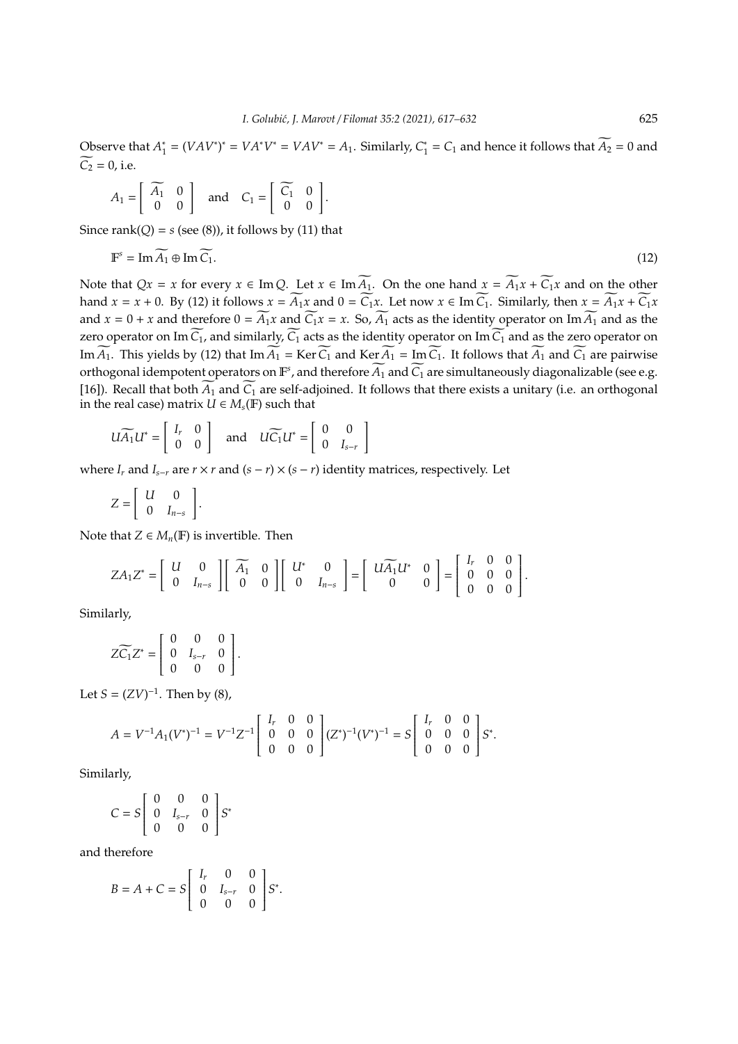Observe that *A* ∗  $C_1^* = (VAV^*)^* = VA^*V^* = VAV^* = A_1$ . Similarly,  $C_1^*$  $\zeta_1^* = C_1$  and hence it follows that  $A_2 = 0$  and  $\widetilde{C_2} = 0$ , i.e.

$$
A_1 = \begin{bmatrix} \widetilde{A_1} & 0 \\ 0 & 0 \end{bmatrix} \quad \text{and} \quad C_1 = \begin{bmatrix} \widetilde{C_1} & 0 \\ 0 & 0 \end{bmatrix}.
$$

Since rank $(Q) = s$  (see  $(8)$ ), it follows by (11) that

$$
\mathbb{F}^s = \operatorname{Im} \widetilde{A_1} \oplus \operatorname{Im} \widetilde{C_1}.
$$
 (12)

Note that  $Qx = x$  for every  $x \in \text{Im } Q$ . Let  $x \in \text{Im } \widetilde{A_1}$ . On the one hand  $x = \widetilde{A_1}x + \widetilde{C_1}x$  and on the other hand  $x = x + 0$ . By (12) it follows  $x = \widetilde{A_1}x$  and  $0 = \widetilde{C_1}x$ . Let now  $x \in \text{Im}\,\widetilde{C_1}$ . Similarly, then  $x = \widetilde{A_1}x + \widetilde{C_1}x$ and  $x = 0 + x$  and therefore  $0 = \widetilde{A_1}x$  and  $\widetilde{C_1}x = x$ . So,  $\widetilde{A_1}$  acts as the identity operator on Im  $\widetilde{A_1}$  and as the zero operator on Im  $\widetilde{C_1}$ , and similarly,  $\widetilde{C_1}$  acts as the identity operator on Im  $\widetilde{C_1}$  and as the zero operator on Im  $\widetilde{A_1}$ . This yields by (12) that Im  $\widetilde{A_1}$  = Ker  $\widetilde{C_1}$  and Ker  $\widetilde{A_1}$  = Im  $\widetilde{C_1}$ . It follows that  $\widetilde{A_1}$  and  $\widetilde{C_1}$  are pairwise orthogonal idempotent operators on  $\mathbb{F}^s$ , and therefore  $\widetilde{A_1}$  and  $\widetilde{C_1}$  are simultaneously diagonalizable (see e.g. [16]). Recall that both  $\widetilde{A_1}$  and  $\widetilde{C_1}$  are self-adjoined. It follows that there exists a unitary (i.e. an orthogonal in the real case) matrix  $U \in M_s(\mathbb{F})$  such that

$$
U\widetilde{A_1}U^* = \left[\begin{array}{cc} I_r & 0 \\ 0 & 0 \end{array}\right] \quad \text{and} \quad U\widetilde{C_1}U^* = \left[\begin{array}{cc} 0 & 0 \\ 0 & I_{s-r} \end{array}\right]
$$

where  $I_r$  and  $I_{s-r}$  are  $r \times r$  and  $(s - r) \times (s - r)$  identity matrices, respectively. Let

$$
Z = \left[ \begin{array}{cc} U & 0 \\ 0 & I_{n-s} \end{array} \right].
$$

Note that  $Z \in M_n(\mathbb{F})$  is invertible. Then

$$
ZA_1Z^* = \begin{bmatrix} U & 0 \\ 0 & I_{n-s} \end{bmatrix} \begin{bmatrix} \widetilde{A_1} & 0 \\ 0 & 0 \end{bmatrix} \begin{bmatrix} U^* & 0 \\ 0 & I_{n-s} \end{bmatrix} = \begin{bmatrix} U \widetilde{A_1} U^* & 0 \\ 0 & 0 \end{bmatrix} = \begin{bmatrix} I_r & 0 & 0 \\ 0 & 0 & 0 \\ 0 & 0 & 0 \end{bmatrix}.
$$

Similarly,

$$
Z\widetilde{C_1}Z^* = \left[ \begin{array}{ccc} 0 & 0 & 0 \\ 0 & I_{s-r} & 0 \\ 0 & 0 & 0 \end{array} \right].
$$

Let *S* =  $(ZV)^{-1}$ . Then by (8),

$$
A = V^{-1}A_1(V^*)^{-1} = V^{-1}Z^{-1}\begin{bmatrix} I_r & 0 & 0 \ 0 & 0 & 0 \ 0 & 0 & 0 \end{bmatrix} (Z^*)^{-1}(V^*)^{-1} = S \begin{bmatrix} I_r & 0 & 0 \ 0 & 0 & 0 \ 0 & 0 & 0 \end{bmatrix} S^*.
$$

Similarly,

$$
C = S \left[ \begin{array}{ccc} 0 & 0 & 0 \\ 0 & I_{s-r} & 0 \\ 0 & 0 & 0 \end{array} \right] S^*
$$

and therefore

$$
B = A + C = S \begin{bmatrix} I_r & 0 & 0 \\ 0 & I_{s-r} & 0 \\ 0 & 0 & 0 \end{bmatrix} S^*.
$$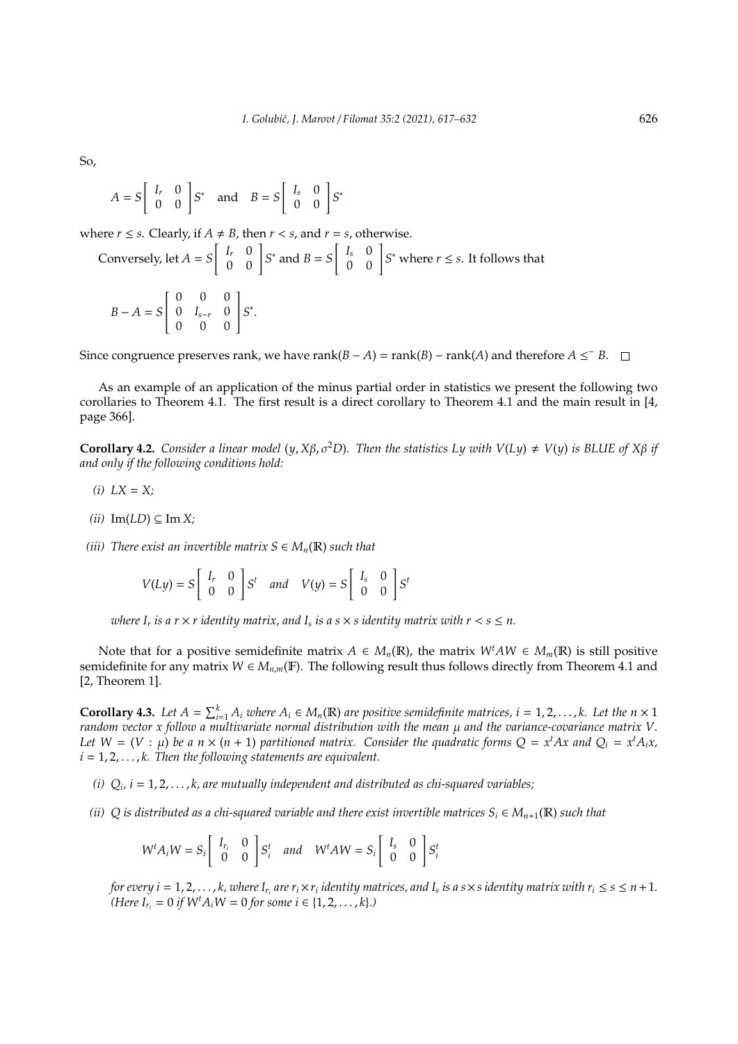So,

$$
A = S \begin{bmatrix} I_r & 0 \\ 0 & 0 \end{bmatrix} S^* \quad \text{and} \quad B = S \begin{bmatrix} I_s & 0 \\ 0 & 0 \end{bmatrix} S^*
$$

where *r*  $\leq$  *s*. Clearly, if *A*  $\neq$  *B*, then *r*  $\lt$  *s*, and *r* = *s*, otherwise.

Conversely, let 
$$
A = S \begin{bmatrix} I_r & 0 \\ 0 & 0 \end{bmatrix} S^*
$$
 and  $B = S \begin{bmatrix} I_s & 0 \\ 0 & 0 \end{bmatrix} S^*$  where  $r \le s$ . It follows that  
\n
$$
B - A = S \begin{bmatrix} 0 & 0 & 0 \\ 0 & I_{s-r} & 0 \\ 0 & 0 & 0 \end{bmatrix} S^*.
$$

Since congruence preserves rank, we have rank( $B - A$ ) = rank( $B$ ) – rank( $A$ ) and therefore  $A \leq^{-} B$ .

As an example of an application of the minus partial order in statistics we present the following two corollaries to Theorem 4.1. The first result is a direct corollary to Theorem 4.1 and the main result in [4, page 366].

**Corollary 4.2.** *Consider a linear model* (*y*,  $X\beta$ ,  $\sigma^2D$ )*. Then the statistics Ly with V*(*Ly*)  $\neq$  *V*(*y*) *is BLUE of*  $X\beta$  *if and only if the following conditions hold:*

- $(i)$   $LX = X$ ;
- $(iii)$  Im(*LD*) ⊆ Im *X*;
- *(iii)* There exist an invertible matrix  $S \in M_n(\mathbb{R})$  such that

$$
V(Ly) = S \begin{bmatrix} I_r & 0 \\ 0 & 0 \end{bmatrix} S^t \quad and \quad V(y) = S \begin{bmatrix} I_s & 0 \\ 0 & 0 \end{bmatrix} S^t
$$

where  $I_r$  is a  $r \times r$  identity matrix, and  $I_s$  is a  $s \times s$  identity matrix with  $r < s \leq n$ .

Note that for a positive semidefinite matrix  $A \in M_n(\mathbb{R})$ , the matrix  $W^t A W \in M_m(\mathbb{R})$  is still positive semidefinite for any matrix  $W \in M_{n,m}(\mathbb{F})$ . The following result thus follows directly from Theorem 4.1 and [2, Theorem 1].

**Corollary 4.3.** Let  $A = \sum_{i=1}^{k} A_i$  where  $A_i \in M_n(\mathbb{R})$  are positive semidefinite matrices,  $i = 1, 2, ..., k$ . Let the  $n \times 1$ *random vector x follow a multivariate normal distribution with the mean* µ *and the variance-covariance matrix V. Let*  $W = (V : \mu)$  *be a*  $n \times (n + 1)$  *partitioned matrix.* Consider the quadratic forms  $Q = x^t A x$  and  $Q_i = x^t A_i x$ ,  $i = 1, 2, \ldots, k$ . Then the following statements are equivalent.

- *(i) Q<sup>i</sup> , i* = 1, 2, . . . , *k, are mutually independent and distributed as chi-squared variables;*
- *(ii)* Q is distributed as a chi-squared variable and there exist invertible matrices  $S_i \in M_{n+1}(\mathbb{R})$  such that

$$
W^t A_i W = S_i \begin{bmatrix} I_{r_i} & 0 \\ 0 & 0 \end{bmatrix} S_i^t \quad and \quad W^t A W = S_i \begin{bmatrix} I_s & 0 \\ 0 & 0 \end{bmatrix} S_i^t
$$

for every  $i=1,2,\ldots,k$ , where  $I_{r_i}$  are  $r_i\times r_i$  identity matrices, and  $I_s$  is a s $\times$ s identity matrix with  $r_i\le s\le n+1.$  $(Here I_{r_i} = 0$  *if*  $W^t A_i W = 0$  *for some i*  $\in \{1, 2, ..., k\}.$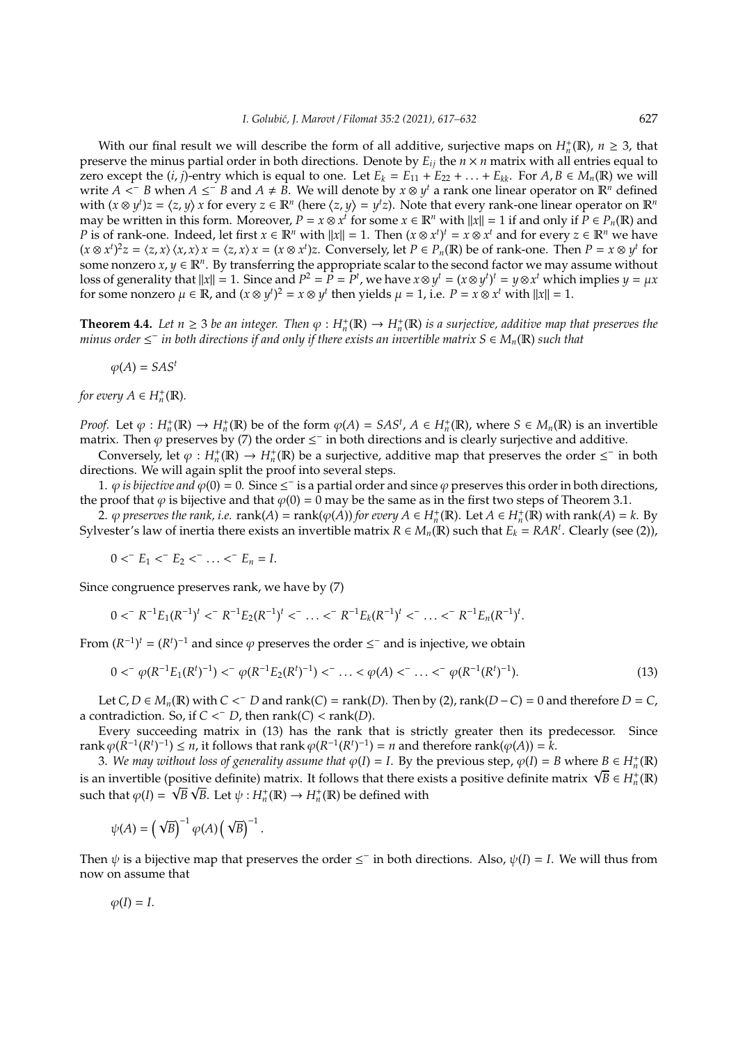With our final result we will describe the form of all additive, surjective maps on  $H_n^+(\mathbb{R})$ ,  $n \geq 3$ , that preserve the minus partial order in both directions. Denote by  $E_{ij}$  the  $n \times n$  matrix with all entries equal to zero except the  $(i, j)$ -entry which is equal to one. Let  $E_k = E_{11} + E_{22} + \ldots + E_{kk}$ . For  $A, B \in M_n(\mathbb{R})$  we will write  $A \leq B$  when  $A \leq B$  and  $A \neq B$ . We will denote by  $x \otimes y^t$  a rank one linear operator on  $\mathbb{R}^n$  defined with  $(x \otimes y^t)z = \langle z, y \rangle x$  for every  $z \in \mathbb{R}^n$  (here  $\langle z, y \rangle = y^t z$ ). Note that every rank-one linear operator on  $\mathbb{R}^n$ may be written in this form. Moreover,  $P = x \otimes x^t$  for some  $x \in \mathbb{R}^n$  with  $||x|| = 1$  if and only if  $P \in P_n(\mathbb{R})$  and *P* is of rank-one. Indeed, let first  $x \in \mathbb{R}^n$  with  $||x|| = 1$ . Then  $(x \otimes x^t)^t = x \otimes x^t$  and for every  $z \in \mathbb{R}^n$  we have  $(x \otimes x^t)^2 z = \langle z, x \rangle \langle x, x \rangle x = \langle z, x \rangle x = (x \otimes x^t)z$ . Conversely, let  $P \in P_n(\mathbb{R})$  be of rank-one. Then  $P = x \otimes y^t$  for some nonzero  $x, y \in \mathbb{R}^n$ . By transferring the appropriate scalar to the second factor we may assume without loss of generality that  $||x|| = 1$ . Since and  $P^2 = P = P^t$ , we have  $x \otimes y^t = (x \otimes y^t)^t = y \otimes x^t$  which implies  $y = \mu x$ for some nonzero  $\mu \in \mathbb{R}$ , and  $(x \otimes y^t)^2 = x \otimes y^t$  then yields  $\mu = 1$ , i.e.  $P = x \otimes x^t$  with  $||x|| = 1$ .

**Theorem 4.4.** Let  $n \ge 3$  be an integer. Then  $\varphi : H_n^+(\mathbb{R}) \to H_n^+(\mathbb{R})$  is a surjective, additive map that preserves the *minus order* ≤ − *in both directions if and only if there exists an invertible matrix S* ∈ *Mn*(R) *such that*

$$
\varphi(A)=SAS^t
$$

*for every*  $A \in H_n^+(\mathbb{R})$ *.* 

*Proof.* Let  $\varphi : H_n^+(\mathbb{R}) \to H_n^+(\mathbb{R})$  be of the form  $\varphi(A) = SAS^t$ ,  $A \in H_n^+(\mathbb{R})$ , where  $S \in M_n(\mathbb{R})$  is an invertible matrix. Then  $\varphi$  preserves by (7) the order  $\leq^-$  in both directions and is clearly surjective and additive.

Conversely, let  $\varphi: H_n^+(\mathbb{R}) \to H_n^+(\mathbb{R})$  be a surjective, additive map that preserves the order  $\leq^-$  in both directions. We will again split the proof into several steps.

1.  $\varphi$  *is bijective and*  $\varphi(0) = 0$ . Since  $\leq^-$  is a partial order and since  $\varphi$  preserves this order in both directions, the proof that  $\varphi$  is bijective and that  $\varphi(0) = 0$  may be the same as in the first two steps of Theorem 3.1.

 $2.$   $\varphi$  preserves the rank, i.e.  $\text{rank}(A) = \text{rank}(\varphi(A))$  for every  $A \in H_n^+(\mathbb{R})$ . Let  $A \in H_n^+(\mathbb{R})$  with  $\text{rank}(A) = k$ . By Sylvester's law of inertia there exists an invertible matrix  $R \in M_n(\mathbb{R})$  such that  $E_k = RAR^t$ . Clearly (see (2)),

 $0 < E_1 < E_2 < \cdots < E_n = I.$ 

Since congruence preserves rank, we have by (7)

$$
0 <^{-} R^{-1} E_1 (R^{-1})^t <^{-} R^{-1} E_2 (R^{-1})^t <^{-} \ldots <^{-} R^{-1} E_k (R^{-1})^t <^{-} \ldots <^{-} R^{-1} E_n (R^{-1})^t.
$$

From  $(R^{-1})^t = (R^t)^{-1}$  and since  $\varphi$  preserves the order  $\leq^-$  and is injective, we obtain

$$
0 < \sqrt[\infty]{(R^{-1}E_1(R^t)^{-1})} < \sqrt[\infty]{(R^{-1}E_2(R^t)^{-1})} < \dots < \varphi(A) < \dots < \varphi(R^{-1}(R^t)^{-1}).
$$
\n(13)

 $\text{Let } C, D \in M_n(\mathbb{R}) \text{ with } C \leq D \text{ and } \text{rank}(C) = \text{rank}(D). \text{ Then by (2), } \text{rank}(D - C) = 0 \text{ and therefore } D = C$ a contradiction. So, if  $C <^- D$ , then  $rank(C) < rank(D)$ .

Every succeeding matrix in (13) has the rank that is strictly greater then its predecessor. Since rank  $\varphi(K^{-1}(R^t)^{-1}) \leq n$ , it follows that rank  $\varphi(R^{-1}(R^t)^{-1}) = n$  and therefore rank( $\varphi(A)$ ) =  $\dot{k}$ .

3. We may without loss of generality assume that  $\varphi(I) = I$ . By the previous step,  $\varphi(I) = B$  where  $B \in H_n^+(\mathbb{R})$ 3. We may without loss of generality assume that  $\varphi(1) = 1$ . By the previous step,  $\varphi(1) = B$  where  $B \in H_n^+(\mathbb{R})$  is an invertible (positive definite) matrix. It follows that there exists a positive definite matrix  $\sqrt$ such that  $\varphi(I) = \sqrt{B} \sqrt{B}$ . Let  $\psi : H_n^+(\mathbb{R}) \to H_n^+(\mathbb{R})$  be defined with

$$
\psi(A) = \left(\sqrt{B}\right)^{-1} \varphi(A) \left(\sqrt{B}\right)^{-1}.
$$

Then  $\psi$  is a bijective map that preserves the order  $\leq^-$  in both directions. Also,  $\psi(I) = I$ . We will thus from now on assume that

$$
\varphi(I)=I.
$$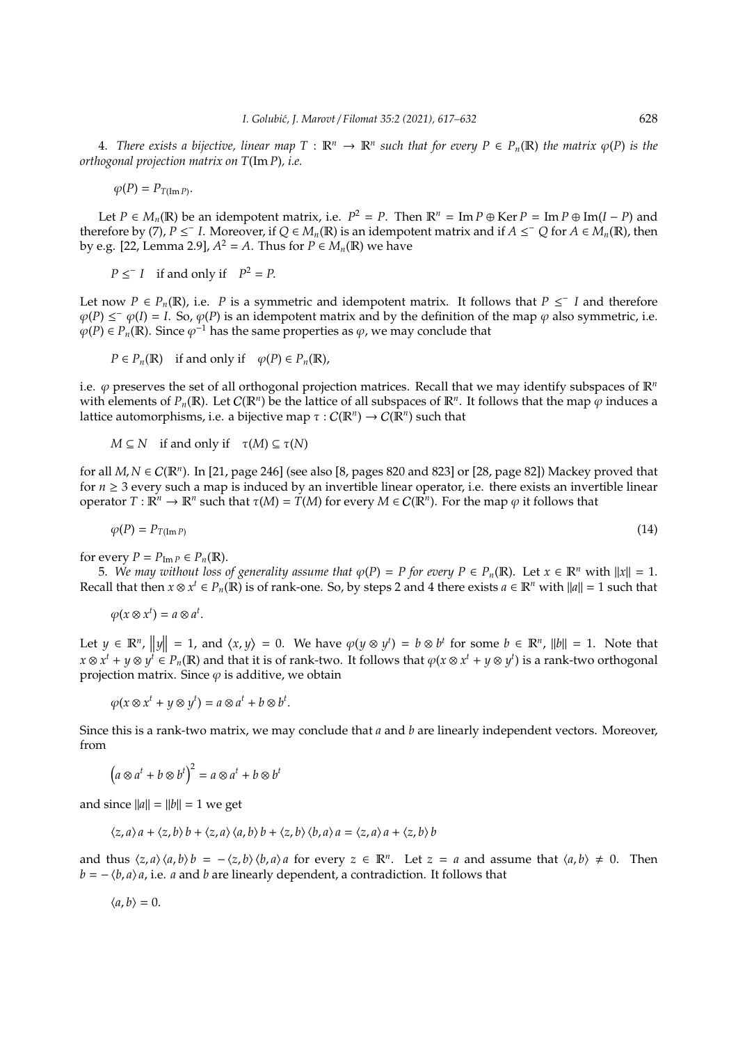4. *There exists a bijective, linear map*  $T : \mathbb{R}^n \to \mathbb{R}^n$  such that for every  $P \in P_n(\mathbb{R})$  the matrix  $\varphi(P)$  is the *orthogonal projection matrix on T*(Im *P*)*, i.e.*

 $\varphi(P) = P_{T(\text{Im }P)}$ .

Let *P* ∈ *M<sub>n</sub>*(**R**) be an idempotent matrix, i.e.  $P^2 = P$ . Then  $\mathbb{R}^n = \text{Im } P \oplus \text{Ker } P = \text{Im } P \oplus \text{Im}(I - P)$  and therefore by (7),  $P \le I$ . Moreover, if  $Q \in M_n(\mathbb{R})$  is an idempotent matrix and if  $A \le O$  for  $A \in M_n(\mathbb{R})$ , then by e.g. [22, Lemma 2.9],  $A^2 = A$ . Thus for  $P \in M_n(\mathbb{R})$  we have

 $P \leq I$  if and only if  $P^2 = P$ .

Let now  $P \in P_n(\mathbb{R})$ , i.e. *P* is a symmetric and idempotent matrix. It follows that  $P \leq I$  and therefore  $\varphi(P) \le \varphi(I) = I$ . So,  $\varphi(P)$  is an idempotent matrix and by the definition of the map  $\varphi$  also symmetric, i.e.  $\varphi(P) \in P_n(\mathbb{R})$ . Since  $\varphi^{-1}$  has the same properties as  $\varphi$ , we may conclude that

 $P \in P_n(\mathbb{R})$  if and only if  $\varphi(P) \in P_n(\mathbb{R})$ ,

i.e.  $\varphi$  preserves the set of all orthogonal projection matrices. Recall that we may identify subspaces of  $\mathbb{R}^n$ with elements of  $P_n(\mathbb{R})$ . Let  $C(\mathbb{R}^n)$  be the lattice of all subspaces of  $\mathbb{R}^n$ . It follows that the map  $\varphi$  induces a lattice automorphisms, i.e. a bijective map  $\tau: C(\mathbb{R}^n) \to C(\mathbb{R}^n)$  such that

*M*  $\subseteq$  *N* if and only if  $\tau$ (*M*)  $\subseteq$   $\tau$ (*N*)

for all *M*, *N* ∈ C(R*<sup>n</sup>* ). In [21, page 246] (see also [8, pages 820 and 823] or [28, page 82]) Mackey proved that for  $n \geq 3$  every such a map is induced by an invertible linear operator, i.e. there exists an invertible linear operator *T* :  $\mathbb{R}^n$  →  $\mathbb{R}^n$  such that  $τ(M) = T(M)$  for every  $M ∈ C(\mathbb{R}^n)$ . For the map  $φ$  it follows that

$$
\varphi(P) = P_{T(\text{Im }P)} \tag{14}
$$

for every  $P = P_{\text{Im }P} \in P_n(\mathbb{R})$ .

5. We may without loss of generality assume that  $\varphi(P) = P$  for every  $P \in P_n(\mathbb{R})$ . Let  $x \in \mathbb{R}^n$  with  $||x|| = 1$ . Recall that then  $x \otimes x^t \in P_n(\mathbb{R})$  is of rank-one. So, by steps 2 and 4 there exists  $a \in \mathbb{R}^n$  with  $||a|| = 1$  such that

$$
\varphi(x\otimes x^t)=a\otimes a^t.
$$

Let  $y \in \mathbb{R}^n$ ,  $||y|| = 1$ , and  $\langle x, y \rangle = 0$ . We have  $\varphi(y \otimes y^t) = b \otimes b^t$  for some  $b \in \mathbb{R}^n$ ,  $||b|| = 1$ . Note that  $x\otimes x^t+y\otimes y^{\bar t}\in P_n(\R)$  and that it is of rank-two. It follows that  $\varphi(x\otimes x^t+y\otimes y^t)$  is a rank-two orthogonal projection matrix. Since  $\varphi$  is additive, we obtain

$$
\varphi(x \otimes x^t + y \otimes y^t) = a \otimes a^t + b \otimes b^t.
$$

Since this is a rank-two matrix, we may conclude that *a* and *b* are linearly independent vectors. Moreover, from

$$
(a \otimes a^t + b \otimes b^t)^2 = a \otimes a^t + b \otimes b^t
$$

and since  $||a|| = ||b|| = 1$  we get

$$
\langle z, a \rangle a + \langle z, b \rangle b + \langle z, a \rangle \langle a, b \rangle b + \langle z, b \rangle \langle b, a \rangle a = \langle z, a \rangle a + \langle z, b \rangle b
$$

and thus  $\langle z, a \rangle \langle a, b \rangle b = -\langle z, b \rangle \langle b, a \rangle a$  for every  $z \in \mathbb{R}^n$ . Let  $z = a$  and assume that  $\langle a, b \rangle \neq 0$ . Then  $b = -\langle b, a \rangle a$ , i.e. *a* and *b* are linearly dependent, a contradiction. It follows that

$$
\langle a,b\rangle=0.
$$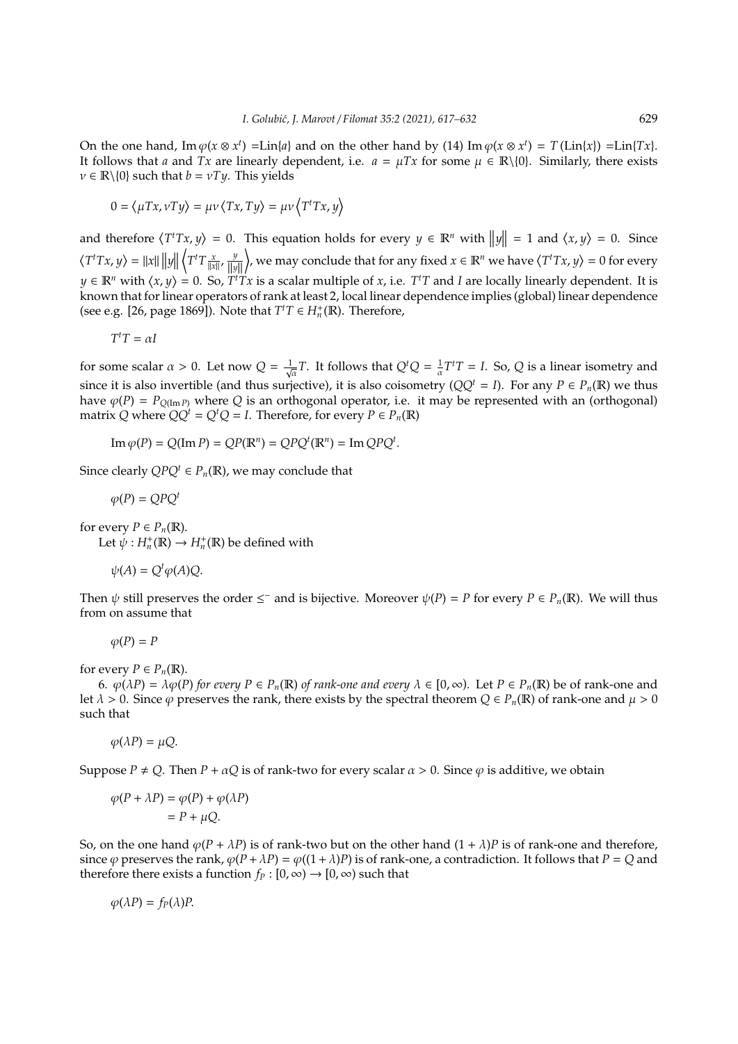On the one hand,  $\text{Im } \varphi(x \otimes x^t) = \text{Lin}\{a\}$  and on the other hand by (14)  $\text{Im } \varphi(x \otimes x^t) = T(\text{Lin}\{x\}) = \text{Lin}\{Tx\}.$ It follows that *a* and *Tx* are linearly dependent, i.e.  $a = \mu Tx$  for some  $\mu \in \mathbb{R}\setminus\{0\}$ . Similarly, there exists  $v \in \mathbb{R} \setminus \{0\}$  such that  $b = vTy$ . This yields

$$
0 = \langle \mu Tx, \nu Ty \rangle = \mu \nu \langle Tx, Ty \rangle = \mu \nu \langle T^t Tx, y \rangle
$$

and therefore  $\langle T^t T x, y \rangle = 0$ . This equation holds for every  $y \in \mathbb{R}^n$  with  $||y|| = 1$  and  $\langle x, y \rangle = 0$ . Since  $\langle T^t T x, y \rangle = ||x|| ||y||$  $\left\langle T^t T \frac{x}{\|x\|}, \frac{y}{\|y\|} \right\rangle$  $\Big\}$ , we may conclude that for any fixed  $x \in \mathbb{R}^n$  we have  $\langle T^t T x, y \rangle = 0$  for every *y* ∈  $\mathbb{R}^n$  with  $\langle x, y \rangle = 0$ . So,  $T^tTx$  is a scalar multiple of *x*, i.e.  $T^tT$  and *I* are locally linearly dependent. It is known that for linear operators of rank at least 2, local linear dependence implies (global) linear dependence (see e.g. [26, page 1869]). Note that  $T^tT \in H_n^+({\mathbb R})$ . Therefore,

$$
T^tT=\alpha I
$$

for some scalar  $\alpha > 0$ . Let now  $Q = \frac{1}{\sqrt{\alpha}}T$ . It follows that  $Q^tQ = \frac{1}{\alpha}T^tT = I$ . So, *Q* is a linear isometry and since it is also invertible (and thus surjective), it is also coisometry  $(QQ^t = I)$ . For any  $P \in P_n(\mathbb{R})$  we thus have  $\varphi(P) = P_{Q(\text{Im }P)}$  where *Q* is an orthogonal operator, i.e. it may be represented with an (orthogonal) matrix *Q* where  $QQ^t = Q^tQ = I$ . Therefore, for every  $P \in P_n(\mathbb{R})$ 

$$
\operatorname{Im}\varphi(P) = Q(\operatorname{Im} P) = QP(\mathbb{R}^n) = QPQ^t(\mathbb{R}^n) = \operatorname{Im} QPQ^t.
$$

Since clearly  $QPQ^t \in P_n(\mathbb{R})$ , we may conclude that

$$
\varphi(P) = QPQ^t
$$

for every  $P \in P_n(\mathbb{R})$ .

Let  $\psi: H_n^{\dagger}(\mathbb{R}) \to H_n^{\dagger}(\mathbb{R})$  be defined with

$$
\psi(A) = Q^t \varphi(A) Q.
$$

Then  $\psi$  still preserves the order  $\leq^-$  and is bijective. Moreover  $\psi(P) = P$  for every  $P \in P_n(\mathbb{R})$ . We will thus from on assume that

$$
\varphi(P)=P
$$

for every  $P \in P_n(\mathbb{R})$ .

6.  $\varphi(\lambda P) = \lambda \varphi(P)$  *for every*  $P \in P_n(\mathbb{R})$  *of rank-one and every*  $\lambda \in [0, \infty)$ *.* Let  $P \in P_n(\mathbb{R})$  be of rank-one and let  $\lambda > 0$ . Since  $\varphi$  preserves the rank, there exists by the spectral theorem  $Q \in P_n(\mathbb{R})$  of rank-one and  $\mu > 0$ such that

$$
\varphi(\lambda P) = \mu Q.
$$

Suppose  $P \neq Q$ . Then  $P + \alpha Q$  is of rank-two for every scalar  $\alpha > 0$ . Since  $\varphi$  is additive, we obtain

$$
\varphi(P + \lambda P) = \varphi(P) + \varphi(\lambda P)
$$
  
=  $P + \mu Q$ .

So, on the one hand  $\varphi(P + \lambda P)$  is of rank-two but on the other hand  $(1 + \lambda)P$  is of rank-one and therefore, since  $\varphi$  preserves the rank,  $\varphi(P + \lambda P) = \varphi((1 + \lambda)P)$  is of rank-one, a contradiction. It follows that  $P = Q$  and therefore there exists a function  $f_P : [0, \infty) \to [0, \infty)$  such that

$$
\varphi(\lambda P)=f_P(\lambda)P.
$$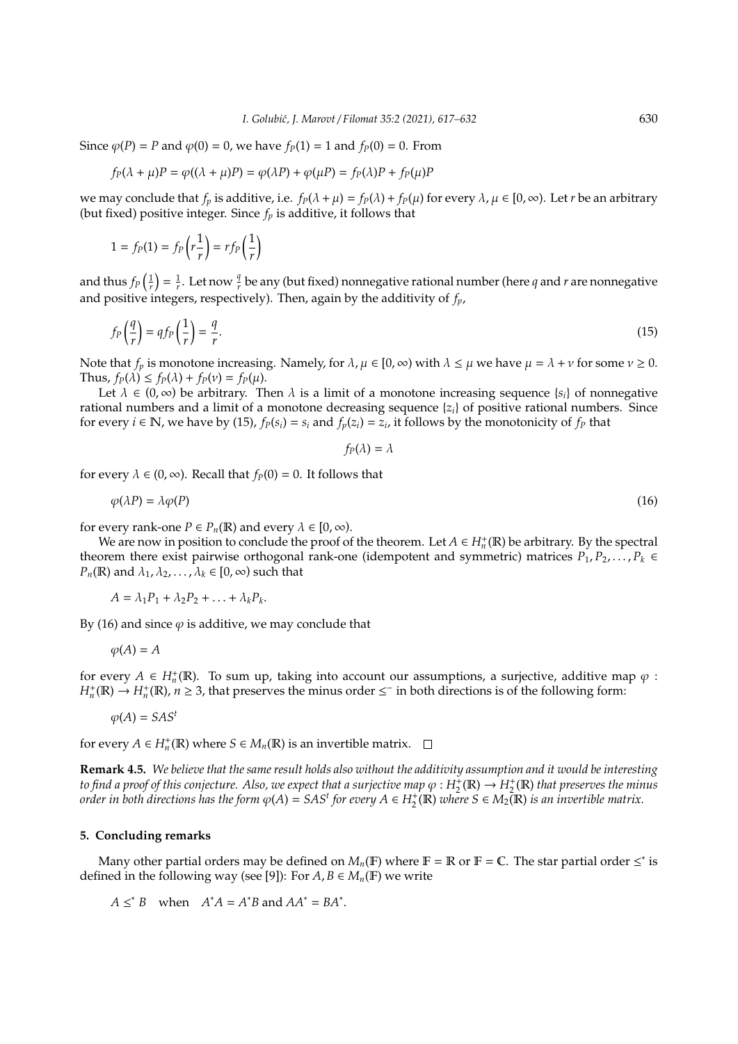Since  $\varphi(P) = P$  and  $\varphi(0) = 0$ , we have  $f_P(1) = 1$  and  $f_P(0) = 0$ . From

$$
f_P(\lambda + \mu)P = \varphi((\lambda + \mu)P) = \varphi(\lambda P) + \varphi(\mu P) = f_P(\lambda)P + f_P(\mu)P
$$

we may conclude that  $f_p$  is additive, i.e.  $f_P(\lambda + \mu) = f_P(\lambda) + f_P(\mu)$  for every  $\lambda, \mu \in [0, \infty)$ . Let *r* be an arbitrary (but fixed) positive integer. Since *f<sup>p</sup>* is additive, it follows that

$$
1 = f_P(1) = f_P\left(r\frac{1}{r}\right) = rf_P\left(\frac{1}{r}\right)
$$

and thus  $f_P(\frac{1}{r}) = \frac{1}{r}$ . Let now  $\frac{q}{r}$  be any (but fixed) nonnegative rational number (here *q* and *r* are nonnegative and positive integers, respectively). Then, again by the additivity of *fp*,

$$
f_P\left(\frac{q}{r}\right) = qf_P\left(\frac{1}{r}\right) = \frac{q}{r}.\tag{15}
$$

Note that  $f_p$  is monotone increasing. Namely, for  $\lambda, \mu \in [0, \infty)$  with  $\lambda \leq \mu$  we have  $\mu = \lambda + \nu$  for some  $\nu \geq 0$ . Thus,  $f_P(\lambda) \leq f_P(\lambda) + f_P(\nu) = f_P(\mu)$ .

Let  $\lambda \in (0, \infty)$  be arbitrary. Then  $\lambda$  is a limit of a monotone increasing sequence  $\{s_i\}$  of nonnegative rational numbers and a limit of a monotone decreasing sequence {*zi*} of positive rational numbers. Since for every  $i \in \mathbb{N}$ , we have by (15),  $f_P(s_i) = s_i$  and  $f_P(z_i) = z_i$ , it follows by the monotonicity of  $f_P$  that

$$
f_P(\lambda)=\lambda
$$

for every  $\lambda \in (0, \infty)$ . Recall that  $f_p(0) = 0$ . It follows that

$$
\varphi(\lambda P) = \lambda \varphi(P) \tag{16}
$$

for every rank-one  $P \in P_n(\mathbb{R})$  and every  $\lambda \in [0, \infty)$ .

We are now in position to conclude the proof of the theorem. Let  $A \in H_n^+(\mathbb{R})$  be arbitrary. By the spectral theorem there exist pairwise orthogonal rank-one (idempotent and symmetric) matrices  $P_1, P_2, \ldots, P_k \in$ *P<sub>n</sub>*(**R**) and  $\lambda_1$ ,  $\lambda_2$ , ...,  $\lambda_k \in [0, \infty)$  such that

$$
A = \lambda_1 P_1 + \lambda_2 P_2 + \ldots + \lambda_k P_k.
$$

By (16) and since  $\varphi$  is additive, we may conclude that

$$
\varphi(A) = A
$$

for every  $A \in H_n^+(\mathbb{R})$ . To sum up, taking into account our assumptions, a surjective, additive map  $\varphi$ :  $H_n^+$ (R)  $\to H_n^+$ (R),  $n \ge 3$ , that preserves the minus order  $\le$ <sup>-</sup> in both directions is of the following form:

 $\varphi(A) = SAS^t$ 

for every  $A \in H_n^+(\mathbb{R})$  where  $S \in M_n(\mathbb{R})$  is an invertible matrix.

**Remark 4.5.** *We believe that the same result holds also without the additivity assumption and it would be interesting* to find a proof of this conjecture. Also, we expect that a surjective map  $\varphi:H_2^1(\R)\to H_2^+(\R)$  that preserves the minus *order in both directions has the form*  $\varphi(A) = SAS^t$  *for every*  $A \in H_2^+(\mathbb{R})$  *where*  $S \in M_2(\mathbb{R})$  *is an invertible matrix.* 

## **5. Concluding remarks**

Many other partial orders may be defined on  $M_n(\mathbb{F})$  where  $\mathbb{F} = \mathbb{R}$  or  $\mathbb{F} = \mathbb{C}$ . The star partial order  $\leq^*$  is defined in the following way (see [9]): For  $A, B \in M_n(\mathbb{F})$  we write

 $A \leq^* B$  when  $A^*A = A^*B$  and  $AA^* = BA^*$ .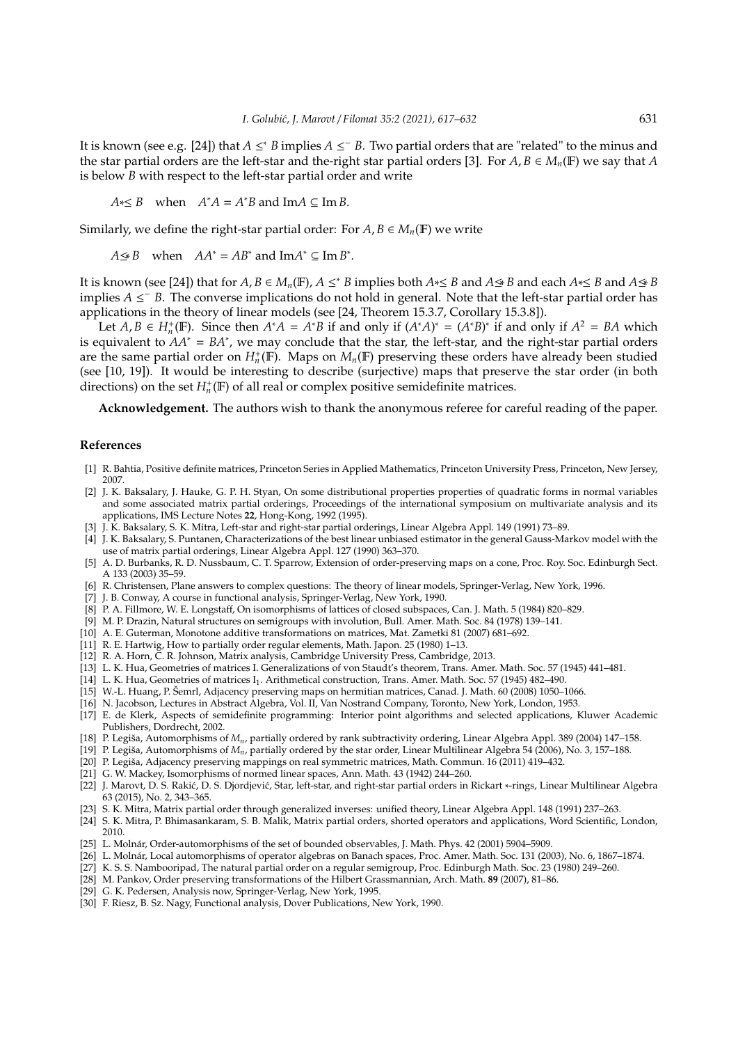It is known (see e.g. [24]) that  $A \leq^* B$  implies  $A \leq^- B$ . Two partial orders that are "related" to the minus and the star partial orders are the left-star and the-right star partial orders [3]. For  $A, B \in M_n(\mathbb{F})$  we say that *A* is below *B* with respect to the left-star partial order and write

 $A \leq B$  when  $A^*A = A^*B$  and Im $A \subseteq \text{Im } B$ .

Similarly, we define the right-star partial order: For  $A, B \in M_n(\mathbb{F})$  we write

 $A \leq B$  when  $AA^* = AB^*$  and  $\text{Im}A^* \subseteq \text{Im}B^*$ .

It is known (see [24]) that for  $A, B \in M_n(\mathbb{F})$ ,  $A \leq^* B$  implies both  $A \leq B$  and  $A \leq B$  and each  $A \leq B$  and  $A \leq B$ implies *A* ≤ <sup>−</sup> *B*. The converse implications do not hold in general. Note that the left-star partial order has applications in the theory of linear models (see [24, Theorem 15.3.7, Corollary 15.3.8]).

Let  $A, B \in H_n^+(\mathbb{F})$ . Since then  $A^*A = A^*B$  if and only if  $(A^*A)^* = (A^*B)^*$  if and only if  $A^2 = BA$  which is equivalent to *AA*<sup>∗</sup> = *BA*<sup>∗</sup> , we may conclude that the star, the left-star, and the right-star partial orders are the same partial order on  $H_n^+(\mathbb{F})$ . Maps on  $M_n(\mathbb{F})$  preserving these orders have already been studied (see [10, 19]). It would be interesting to describe (surjective) maps that preserve the star order (in both directions) on the set  $H_n^+$ (**F**) of all real or complex positive semidefinite matrices.

**Acknowledgement.** The authors wish to thank the anonymous referee for careful reading of the paper.

#### **References**

- [1] R. Bahtia, Positive definite matrices, Princeton Series in Applied Mathematics, Princeton University Press, Princeton, New Jersey, 2007.
- [2] J. K. Baksalary, J. Hauke, G. P. H. Styan, On some distributional properties properties of quadratic forms in normal variables and some associated matrix partial orderings, Proceedings of the international symposium on multivariate analysis and its applications, IMS Lecture Notes **22**, Hong-Kong, 1992 (1995).
- [3] J. K. Baksalary, S. K. Mitra, Left-star and right-star partial orderings, Linear Algebra Appl. 149 (1991) 73–89.
- [4] J. K. Baksalary, S. Puntanen, Characterizations of the best linear unbiased estimator in the general Gauss-Markov model with the use of matrix partial orderings, Linear Algebra Appl. 127 (1990) 363–370.
- [5] A. D. Burbanks, R. D. Nussbaum, C. T. Sparrow, Extension of order-preserving maps on a cone, Proc. Roy. Soc. Edinburgh Sect. A 133 (2003) 35–59.
- [6] R. Christensen, Plane answers to complex questions: The theory of linear models, Springer-Verlag, New York, 1996.
- [7] J. B. Conway, A course in functional analysis, Springer-Verlag, New York, 1990.
- [8] P. A. Fillmore, W. E. Longstaff, On isomorphisms of lattices of closed subspaces, Can. J. Math. 5 (1984) 820–829.
- [9] M. P. Drazin, Natural structures on semigroups with involution, Bull. Amer. Math. Soc. 84 (1978) 139–141.
- [10] A. E. Guterman, Monotone additive transformations on matrices, Mat. Zametki 81 (2007) 681–692.
- [11] R. E. Hartwig, How to partially order regular elements, Math. Japon. 25 (1980) 1–13.
- [12] R. A. Horn, C. R. Johnson, Matrix analysis, Cambridge University Press, Cambridge, 2013.
- [13] L. K. Hua, Geometries of matrices I. Generalizations of von Staudt's theorem, Trans. Amer. Math. Soc. 57 (1945) 441–481.
- [14] L. K. Hua, Geometries of matrices I<sub>1</sub>. Arithmetical construction, Trans. Amer. Math. Soc. 57 (1945) 482-490.
- [15] W.-L. Huang, P. Šemrl, Adjacency preserving maps on hermitian matrices, Canad. J. Math. 60 (2008) 1050–1066.
- [16] N. Jacobson, Lectures in Abstract Algebra, Vol. II, Van Nostrand Company, Toronto, New York, London, 1953.
- [17] E. de Klerk, Aspects of semidefinite programming: Interior point algorithms and selected applications, Kluwer Academic Publishers, Dordrecht, 2002.
- [18] P. Legiša, Automorphisms of *Mn*, partially ordered by rank subtractivity ordering, Linear Algebra Appl. 389 (2004) 147–158.
- [19] P. Legiša, Automorphisms of *Mn*, partially ordered by the star order, Linear Multilinear Algebra 54 (2006), No. 3, 157–188.
- [20] P. Legiša, Adjacency preserving mappings on real symmetric matrices, Math. Commun. 16 (2011) 419–432.
- [21] G. W. Mackey, Isomorphisms of normed linear spaces, Ann. Math. 43 (1942) 244–260.
- [22] J. Marovt, D. S. Rakić, D. S. Djordjević, Star, left-star, and right-star partial orders in Rickart ∗-rings, Linear Multilinear Algebra 63 (2015), No. 2, 343–365.
- [23] S. K. Mitra, Matrix partial order through generalized inverses: unified theory, Linear Algebra Appl. 148 (1991) 237–263.
- [24] S. K. Mitra, P. Bhimasankaram, S. B. Malik, Matrix partial orders, shorted operators and applications, Word Scientific, London, 2010.
- [25] L. Molnár, Order-automorphisms of the set of bounded observables, J. Math. Phys. 42 (2001) 5904–5909.
- [26] L. Molnár, Local automorphisms of operator algebras on Banach spaces, Proc. Amer. Math. Soc. 131 (2003), No. 6, 1867–1874.
- [27] K. S. S. Nambooripad, The natural partial order on a regular semigroup, Proc. Edinburgh Math. Soc. 23 (1980) 249–260.
- [28] M. Pankov, Order preserving transformations of the Hilbert Grassmannian, Arch. Math. **89** (2007), 81–86.
- [29] G. K. Pedersen, Analysis now, Springer-Verlag, New York, 1995.
- [30] F. Riesz, B. Sz. Nagy, Functional analysis, Dover Publications, New York, 1990.